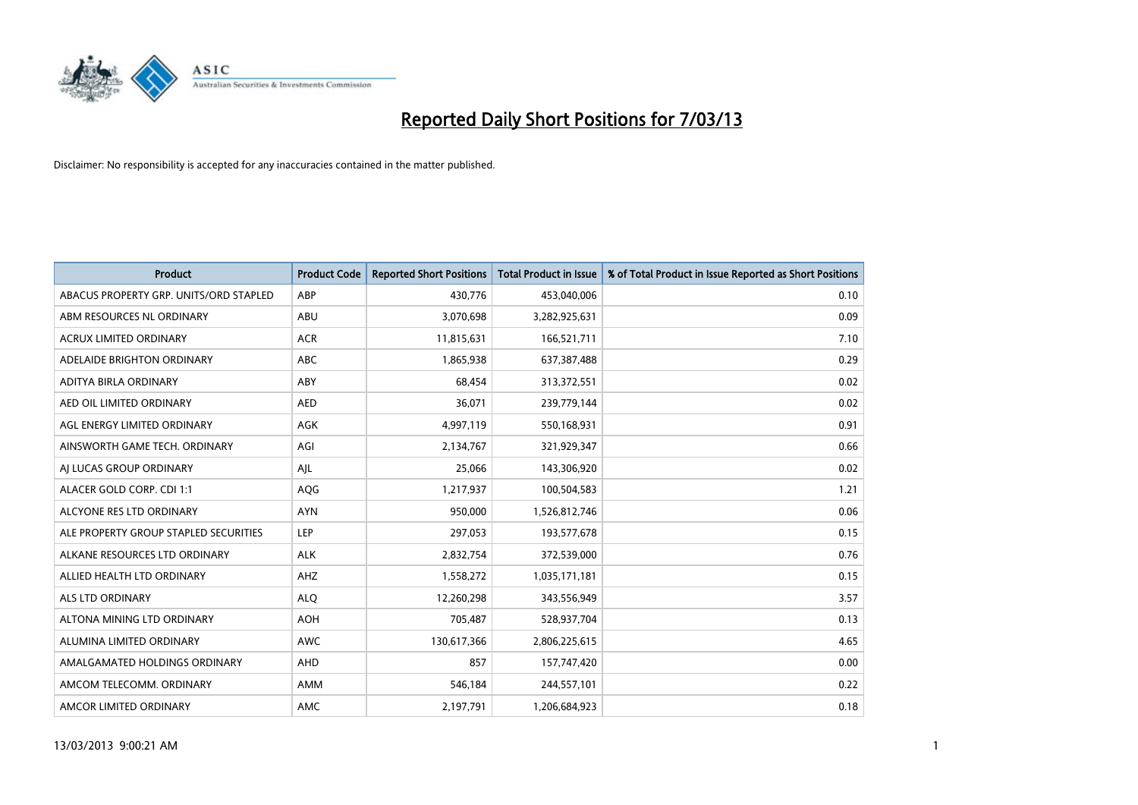

| <b>Product</b>                         | <b>Product Code</b> | <b>Reported Short Positions</b> | <b>Total Product in Issue</b> | % of Total Product in Issue Reported as Short Positions |
|----------------------------------------|---------------------|---------------------------------|-------------------------------|---------------------------------------------------------|
| ABACUS PROPERTY GRP. UNITS/ORD STAPLED | ABP                 | 430,776                         | 453,040,006                   | 0.10                                                    |
| ABM RESOURCES NL ORDINARY              | ABU                 | 3,070,698                       | 3,282,925,631                 | 0.09                                                    |
| <b>ACRUX LIMITED ORDINARY</b>          | <b>ACR</b>          | 11,815,631                      | 166,521,711                   | 7.10                                                    |
| ADELAIDE BRIGHTON ORDINARY             | ABC                 | 1,865,938                       | 637,387,488                   | 0.29                                                    |
| ADITYA BIRLA ORDINARY                  | ABY                 | 68,454                          | 313,372,551                   | 0.02                                                    |
| AED OIL LIMITED ORDINARY               | <b>AED</b>          | 36,071                          | 239,779,144                   | 0.02                                                    |
| AGL ENERGY LIMITED ORDINARY            | <b>AGK</b>          | 4,997,119                       | 550,168,931                   | 0.91                                                    |
| AINSWORTH GAME TECH. ORDINARY          | AGI                 | 2,134,767                       | 321,929,347                   | 0.66                                                    |
| AI LUCAS GROUP ORDINARY                | AJL                 | 25,066                          | 143,306,920                   | 0.02                                                    |
| ALACER GOLD CORP. CDI 1:1              | AQG                 | 1,217,937                       | 100,504,583                   | 1.21                                                    |
| ALCYONE RES LTD ORDINARY               | <b>AYN</b>          | 950,000                         | 1,526,812,746                 | 0.06                                                    |
| ALE PROPERTY GROUP STAPLED SECURITIES  | LEP                 | 297,053                         | 193,577,678                   | 0.15                                                    |
| ALKANE RESOURCES LTD ORDINARY          | <b>ALK</b>          | 2,832,754                       | 372,539,000                   | 0.76                                                    |
| ALLIED HEALTH LTD ORDINARY             | AHZ                 | 1,558,272                       | 1,035,171,181                 | 0.15                                                    |
| ALS LTD ORDINARY                       | <b>ALQ</b>          | 12,260,298                      | 343,556,949                   | 3.57                                                    |
| ALTONA MINING LTD ORDINARY             | AOH                 | 705,487                         | 528,937,704                   | 0.13                                                    |
| ALUMINA LIMITED ORDINARY               | <b>AWC</b>          | 130,617,366                     | 2,806,225,615                 | 4.65                                                    |
| AMALGAMATED HOLDINGS ORDINARY          | <b>AHD</b>          | 857                             | 157,747,420                   | 0.00                                                    |
| AMCOM TELECOMM, ORDINARY               | <b>AMM</b>          | 546,184                         | 244,557,101                   | 0.22                                                    |
| AMCOR LIMITED ORDINARY                 | <b>AMC</b>          | 2,197,791                       | 1,206,684,923                 | 0.18                                                    |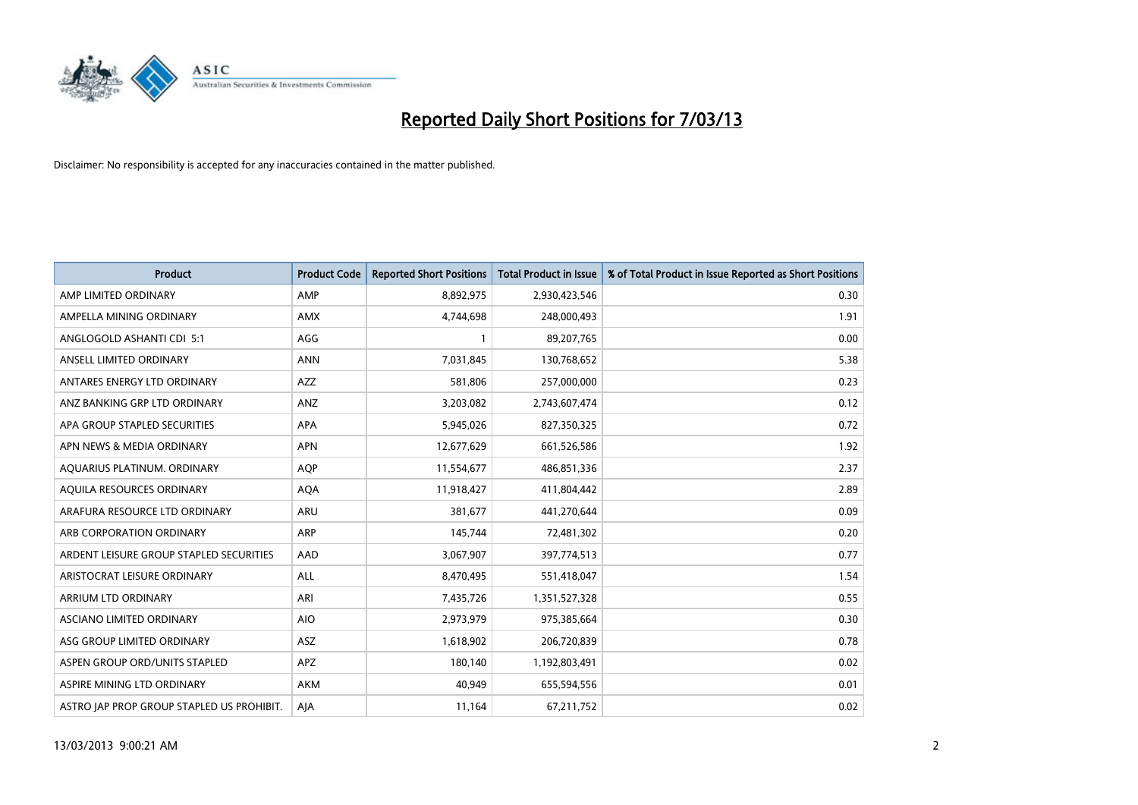

| <b>Product</b>                            | <b>Product Code</b> | <b>Reported Short Positions</b> | <b>Total Product in Issue</b> | % of Total Product in Issue Reported as Short Positions |
|-------------------------------------------|---------------------|---------------------------------|-------------------------------|---------------------------------------------------------|
| AMP LIMITED ORDINARY                      | AMP                 | 8,892,975                       | 2,930,423,546                 | 0.30                                                    |
| AMPELLA MINING ORDINARY                   | <b>AMX</b>          | 4,744,698                       | 248,000,493                   | 1.91                                                    |
| ANGLOGOLD ASHANTI CDI 5:1                 | AGG                 |                                 | 89,207,765                    | 0.00                                                    |
| ANSELL LIMITED ORDINARY                   | <b>ANN</b>          | 7,031,845                       | 130,768,652                   | 5.38                                                    |
| ANTARES ENERGY LTD ORDINARY               | <b>AZZ</b>          | 581,806                         | 257,000,000                   | 0.23                                                    |
| ANZ BANKING GRP LTD ORDINARY              | ANZ                 | 3,203,082                       | 2,743,607,474                 | 0.12                                                    |
| APA GROUP STAPLED SECURITIES              | <b>APA</b>          | 5,945,026                       | 827,350,325                   | 0.72                                                    |
| APN NEWS & MEDIA ORDINARY                 | <b>APN</b>          | 12,677,629                      | 661,526,586                   | 1.92                                                    |
| AQUARIUS PLATINUM. ORDINARY               | <b>AOP</b>          | 11,554,677                      | 486,851,336                   | 2.37                                                    |
| AQUILA RESOURCES ORDINARY                 | <b>AQA</b>          | 11,918,427                      | 411,804,442                   | 2.89                                                    |
| ARAFURA RESOURCE LTD ORDINARY             | <b>ARU</b>          | 381,677                         | 441,270,644                   | 0.09                                                    |
| ARB CORPORATION ORDINARY                  | ARP                 | 145,744                         | 72,481,302                    | 0.20                                                    |
| ARDENT LEISURE GROUP STAPLED SECURITIES   | AAD                 | 3,067,907                       | 397,774,513                   | 0.77                                                    |
| ARISTOCRAT LEISURE ORDINARY               | ALL                 | 8,470,495                       | 551,418,047                   | 1.54                                                    |
| ARRIUM LTD ORDINARY                       | ARI                 | 7,435,726                       | 1,351,527,328                 | 0.55                                                    |
| ASCIANO LIMITED ORDINARY                  | <b>AIO</b>          | 2,973,979                       | 975,385,664                   | 0.30                                                    |
| ASG GROUP LIMITED ORDINARY                | <b>ASZ</b>          | 1,618,902                       | 206,720,839                   | 0.78                                                    |
| ASPEN GROUP ORD/UNITS STAPLED             | APZ                 | 180,140                         | 1,192,803,491                 | 0.02                                                    |
| ASPIRE MINING LTD ORDINARY                | <b>AKM</b>          | 40,949                          | 655,594,556                   | 0.01                                                    |
| ASTRO JAP PROP GROUP STAPLED US PROHIBIT. | AJA                 | 11,164                          | 67,211,752                    | 0.02                                                    |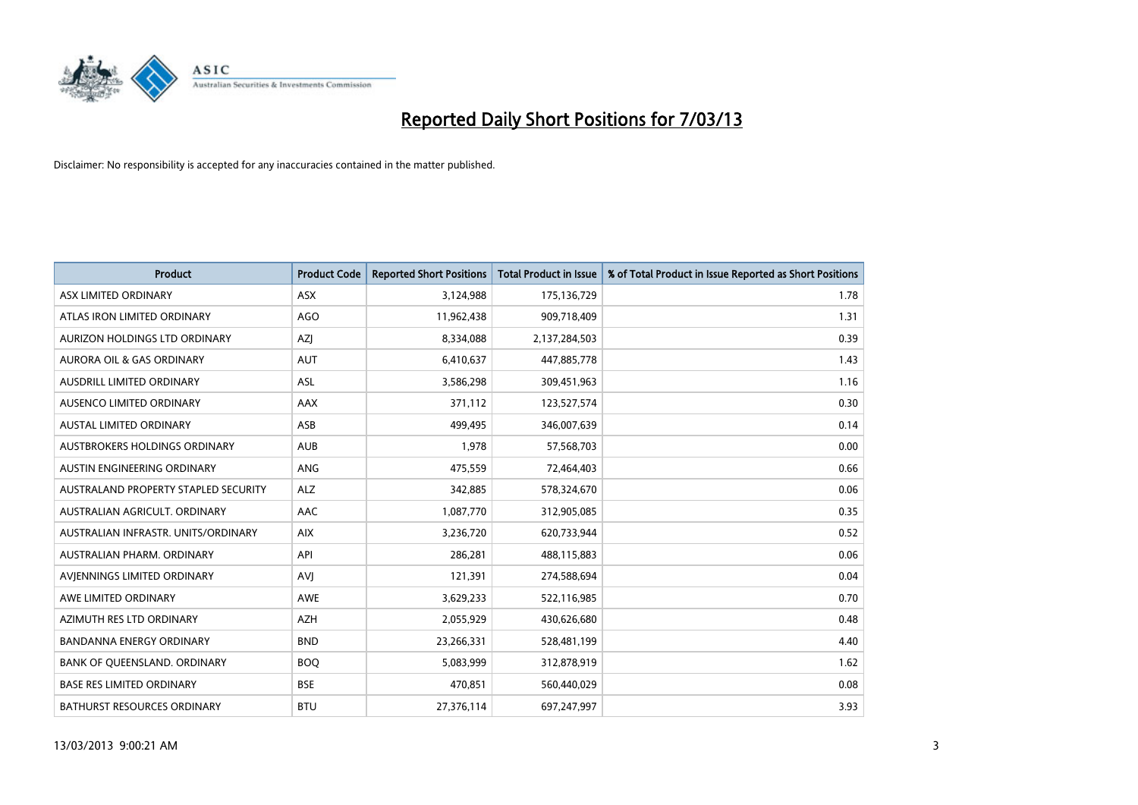

| <b>Product</b>                       | <b>Product Code</b> | <b>Reported Short Positions</b> | <b>Total Product in Issue</b> | % of Total Product in Issue Reported as Short Positions |
|--------------------------------------|---------------------|---------------------------------|-------------------------------|---------------------------------------------------------|
| ASX LIMITED ORDINARY                 | <b>ASX</b>          | 3,124,988                       | 175,136,729                   | 1.78                                                    |
| ATLAS IRON LIMITED ORDINARY          | <b>AGO</b>          | 11,962,438                      | 909,718,409                   | 1.31                                                    |
| AURIZON HOLDINGS LTD ORDINARY        | AZJ                 | 8,334,088                       | 2,137,284,503                 | 0.39                                                    |
| AURORA OIL & GAS ORDINARY            | <b>AUT</b>          | 6,410,637                       | 447,885,778                   | 1.43                                                    |
| <b>AUSDRILL LIMITED ORDINARY</b>     | <b>ASL</b>          | 3,586,298                       | 309,451,963                   | 1.16                                                    |
| <b>AUSENCO LIMITED ORDINARY</b>      | AAX                 | 371,112                         | 123,527,574                   | 0.30                                                    |
| <b>AUSTAL LIMITED ORDINARY</b>       | ASB                 | 499.495                         | 346,007,639                   | 0.14                                                    |
| AUSTBROKERS HOLDINGS ORDINARY        | <b>AUB</b>          | 1,978                           | 57,568,703                    | 0.00                                                    |
| AUSTIN ENGINEERING ORDINARY          | ANG                 | 475,559                         | 72,464,403                    | 0.66                                                    |
| AUSTRALAND PROPERTY STAPLED SECURITY | <b>ALZ</b>          | 342,885                         | 578,324,670                   | 0.06                                                    |
| AUSTRALIAN AGRICULT. ORDINARY        | AAC                 | 1,087,770                       | 312,905,085                   | 0.35                                                    |
| AUSTRALIAN INFRASTR, UNITS/ORDINARY  | <b>AIX</b>          | 3,236,720                       | 620,733,944                   | 0.52                                                    |
| AUSTRALIAN PHARM. ORDINARY           | API                 | 286,281                         | 488,115,883                   | 0.06                                                    |
| AVIENNINGS LIMITED ORDINARY          | <b>AVI</b>          | 121,391                         | 274,588,694                   | 0.04                                                    |
| AWE LIMITED ORDINARY                 | <b>AWE</b>          | 3,629,233                       | 522,116,985                   | 0.70                                                    |
| AZIMUTH RES LTD ORDINARY             | <b>AZH</b>          | 2,055,929                       | 430,626,680                   | 0.48                                                    |
| <b>BANDANNA ENERGY ORDINARY</b>      | <b>BND</b>          | 23,266,331                      | 528,481,199                   | 4.40                                                    |
| BANK OF QUEENSLAND. ORDINARY         | <b>BOO</b>          | 5,083,999                       | 312,878,919                   | 1.62                                                    |
| <b>BASE RES LIMITED ORDINARY</b>     | <b>BSE</b>          | 470,851                         | 560,440,029                   | 0.08                                                    |
| <b>BATHURST RESOURCES ORDINARY</b>   | <b>BTU</b>          | 27,376,114                      | 697,247,997                   | 3.93                                                    |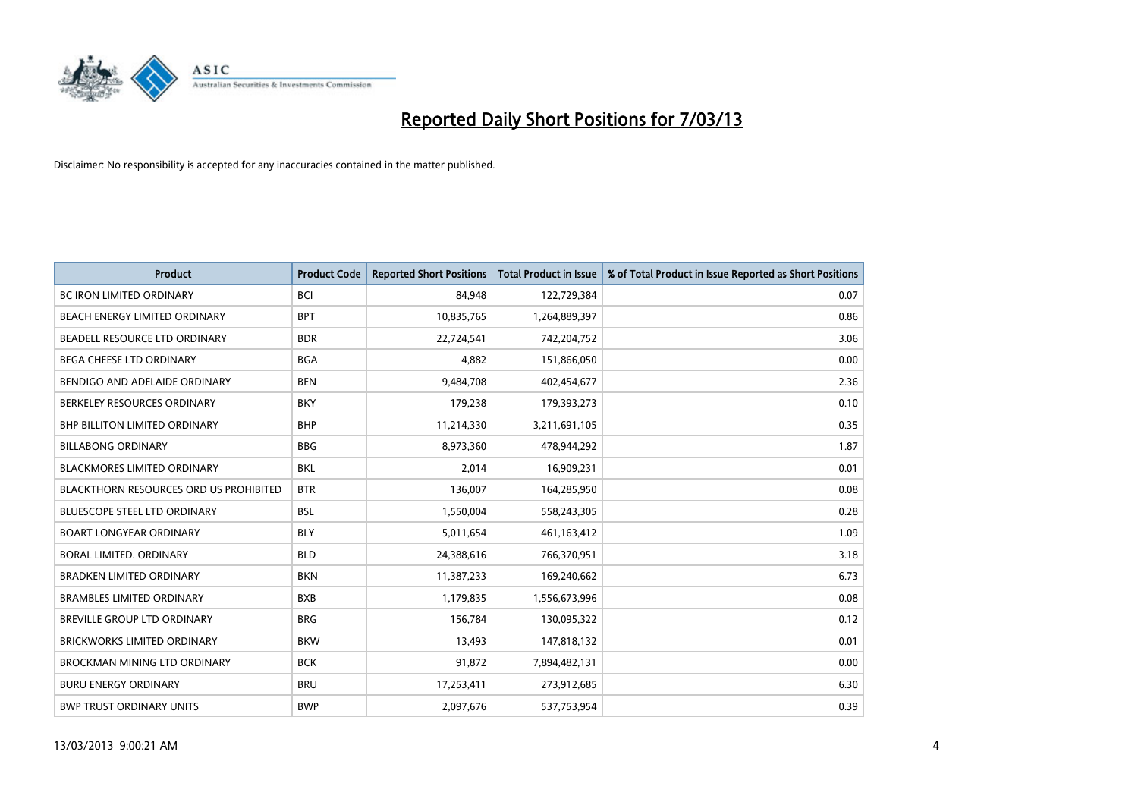

| <b>Product</b>                                | <b>Product Code</b> | <b>Reported Short Positions</b> | <b>Total Product in Issue</b> | % of Total Product in Issue Reported as Short Positions |
|-----------------------------------------------|---------------------|---------------------------------|-------------------------------|---------------------------------------------------------|
| <b>BC IRON LIMITED ORDINARY</b>               | <b>BCI</b>          | 84,948                          | 122,729,384                   | 0.07                                                    |
| BEACH ENERGY LIMITED ORDINARY                 | <b>BPT</b>          | 10,835,765                      | 1,264,889,397                 | 0.86                                                    |
| BEADELL RESOURCE LTD ORDINARY                 | <b>BDR</b>          | 22,724,541                      | 742,204,752                   | 3.06                                                    |
| BEGA CHEESE LTD ORDINARY                      | <b>BGA</b>          | 4,882                           | 151,866,050                   | 0.00                                                    |
| BENDIGO AND ADELAIDE ORDINARY                 | <b>BEN</b>          | 9,484,708                       | 402,454,677                   | 2.36                                                    |
| BERKELEY RESOURCES ORDINARY                   | <b>BKY</b>          | 179,238                         | 179,393,273                   | 0.10                                                    |
| <b>BHP BILLITON LIMITED ORDINARY</b>          | <b>BHP</b>          | 11,214,330                      | 3,211,691,105                 | 0.35                                                    |
| <b>BILLABONG ORDINARY</b>                     | <b>BBG</b>          | 8,973,360                       | 478,944,292                   | 1.87                                                    |
| BLACKMORES LIMITED ORDINARY                   | <b>BKL</b>          | 2,014                           | 16,909,231                    | 0.01                                                    |
| <b>BLACKTHORN RESOURCES ORD US PROHIBITED</b> | <b>BTR</b>          | 136,007                         | 164,285,950                   | 0.08                                                    |
| BLUESCOPE STEEL LTD ORDINARY                  | <b>BSL</b>          | 1,550,004                       | 558,243,305                   | 0.28                                                    |
| <b>BOART LONGYEAR ORDINARY</b>                | <b>BLY</b>          | 5,011,654                       | 461,163,412                   | 1.09                                                    |
| BORAL LIMITED. ORDINARY                       | <b>BLD</b>          | 24,388,616                      | 766,370,951                   | 3.18                                                    |
| <b>BRADKEN LIMITED ORDINARY</b>               | <b>BKN</b>          | 11,387,233                      | 169,240,662                   | 6.73                                                    |
| <b>BRAMBLES LIMITED ORDINARY</b>              | <b>BXB</b>          | 1,179,835                       | 1,556,673,996                 | 0.08                                                    |
| BREVILLE GROUP LTD ORDINARY                   | <b>BRG</b>          | 156,784                         | 130,095,322                   | 0.12                                                    |
| <b>BRICKWORKS LIMITED ORDINARY</b>            | <b>BKW</b>          | 13,493                          | 147,818,132                   | 0.01                                                    |
| BROCKMAN MINING LTD ORDINARY                  | <b>BCK</b>          | 91,872                          | 7,894,482,131                 | 0.00                                                    |
| <b>BURU ENERGY ORDINARY</b>                   | <b>BRU</b>          | 17,253,411                      | 273,912,685                   | 6.30                                                    |
| <b>BWP TRUST ORDINARY UNITS</b>               | <b>BWP</b>          | 2,097,676                       | 537,753,954                   | 0.39                                                    |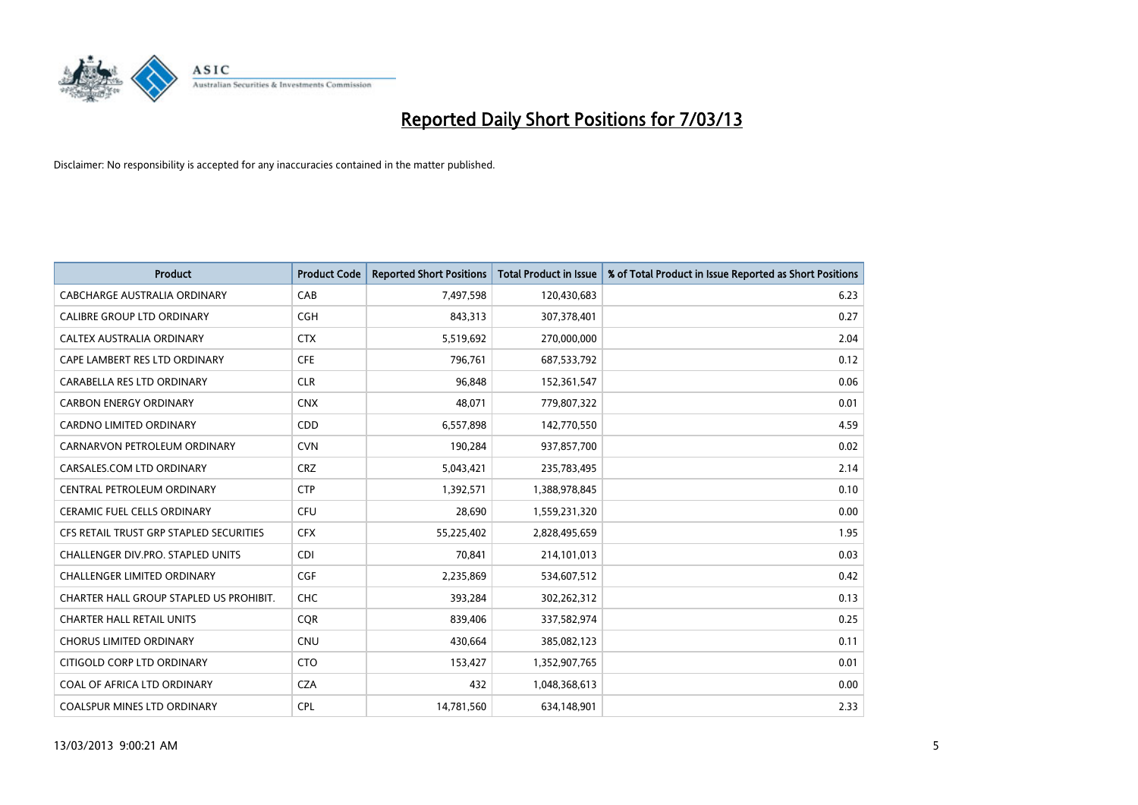

| <b>Product</b>                          | <b>Product Code</b> | <b>Reported Short Positions</b> | <b>Total Product in Issue</b> | % of Total Product in Issue Reported as Short Positions |
|-----------------------------------------|---------------------|---------------------------------|-------------------------------|---------------------------------------------------------|
| <b>CABCHARGE AUSTRALIA ORDINARY</b>     | CAB                 | 7,497,598                       | 120,430,683                   | 6.23                                                    |
| CALIBRE GROUP LTD ORDINARY              | <b>CGH</b>          | 843,313                         | 307,378,401                   | 0.27                                                    |
| CALTEX AUSTRALIA ORDINARY               | <b>CTX</b>          | 5,519,692                       | 270,000,000                   | 2.04                                                    |
| CAPE LAMBERT RES LTD ORDINARY           | <b>CFE</b>          | 796,761                         | 687,533,792                   | 0.12                                                    |
| CARABELLA RES LTD ORDINARY              | <b>CLR</b>          | 96,848                          | 152,361,547                   | 0.06                                                    |
| <b>CARBON ENERGY ORDINARY</b>           | <b>CNX</b>          | 48,071                          | 779,807,322                   | 0.01                                                    |
| <b>CARDNO LIMITED ORDINARY</b>          | CDD                 | 6,557,898                       | 142,770,550                   | 4.59                                                    |
| CARNARVON PETROLEUM ORDINARY            | <b>CVN</b>          | 190,284                         | 937,857,700                   | 0.02                                                    |
| CARSALES.COM LTD ORDINARY               | <b>CRZ</b>          | 5,043,421                       | 235,783,495                   | 2.14                                                    |
| CENTRAL PETROLEUM ORDINARY              | <b>CTP</b>          | 1,392,571                       | 1,388,978,845                 | 0.10                                                    |
| <b>CERAMIC FUEL CELLS ORDINARY</b>      | CFU                 | 28,690                          | 1,559,231,320                 | 0.00                                                    |
| CFS RETAIL TRUST GRP STAPLED SECURITIES | <b>CFX</b>          | 55,225,402                      | 2,828,495,659                 | 1.95                                                    |
| CHALLENGER DIV.PRO. STAPLED UNITS       | <b>CDI</b>          | 70,841                          | 214,101,013                   | 0.03                                                    |
| <b>CHALLENGER LIMITED ORDINARY</b>      | <b>CGF</b>          | 2,235,869                       | 534,607,512                   | 0.42                                                    |
| CHARTER HALL GROUP STAPLED US PROHIBIT. | <b>CHC</b>          | 393,284                         | 302,262,312                   | 0.13                                                    |
| <b>CHARTER HALL RETAIL UNITS</b>        | <b>CQR</b>          | 839,406                         | 337,582,974                   | 0.25                                                    |
| <b>CHORUS LIMITED ORDINARY</b>          | <b>CNU</b>          | 430,664                         | 385,082,123                   | 0.11                                                    |
| CITIGOLD CORP LTD ORDINARY              | <b>CTO</b>          | 153,427                         | 1,352,907,765                 | 0.01                                                    |
| COAL OF AFRICA LTD ORDINARY             | <b>CZA</b>          | 432                             | 1,048,368,613                 | 0.00                                                    |
| <b>COALSPUR MINES LTD ORDINARY</b>      | CPL                 | 14,781,560                      | 634,148,901                   | 2.33                                                    |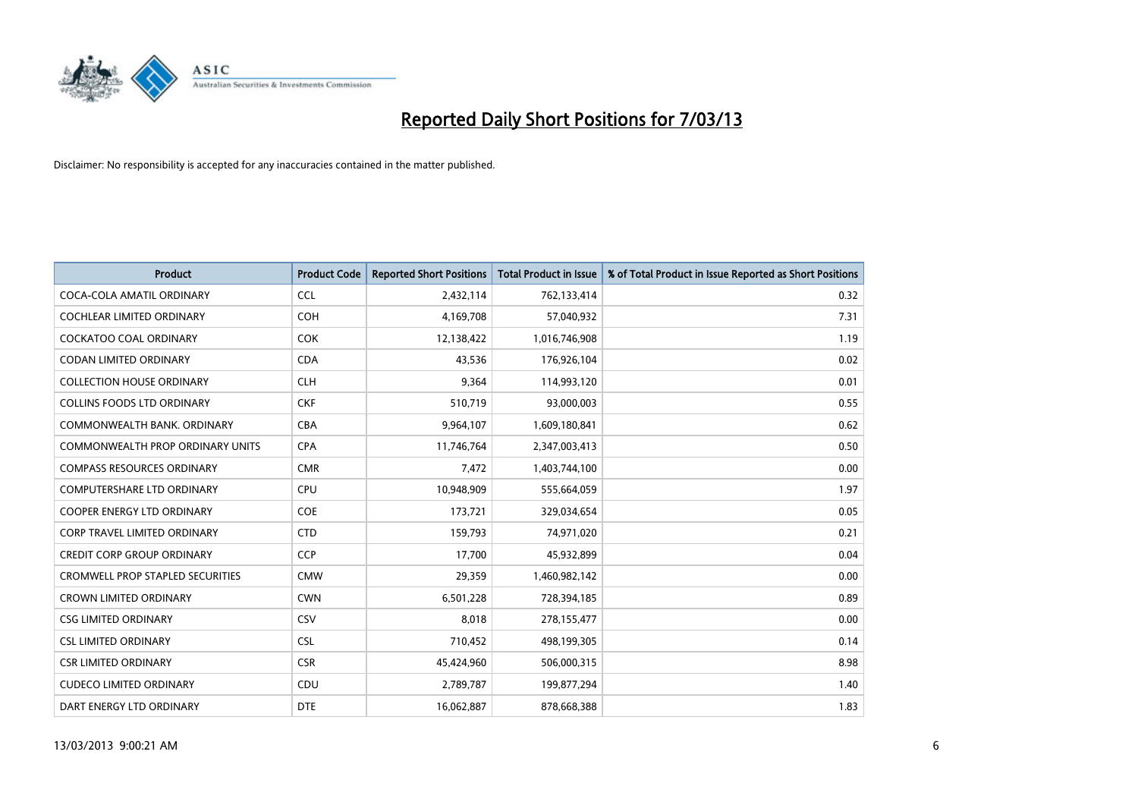

| <b>Product</b>                          | <b>Product Code</b> | <b>Reported Short Positions</b> | <b>Total Product in Issue</b> | % of Total Product in Issue Reported as Short Positions |
|-----------------------------------------|---------------------|---------------------------------|-------------------------------|---------------------------------------------------------|
| COCA-COLA AMATIL ORDINARY               | <b>CCL</b>          | 2,432,114                       | 762,133,414                   | 0.32                                                    |
| COCHLEAR LIMITED ORDINARY               | <b>COH</b>          | 4,169,708                       | 57,040,932                    | 7.31                                                    |
| COCKATOO COAL ORDINARY                  | <b>COK</b>          | 12,138,422                      | 1,016,746,908                 | 1.19                                                    |
| CODAN LIMITED ORDINARY                  | <b>CDA</b>          | 43,536                          | 176,926,104                   | 0.02                                                    |
| <b>COLLECTION HOUSE ORDINARY</b>        | <b>CLH</b>          | 9.364                           | 114,993,120                   | 0.01                                                    |
| <b>COLLINS FOODS LTD ORDINARY</b>       | <b>CKF</b>          | 510,719                         | 93,000,003                    | 0.55                                                    |
| COMMONWEALTH BANK, ORDINARY             | <b>CBA</b>          | 9,964,107                       | 1,609,180,841                 | 0.62                                                    |
| COMMONWEALTH PROP ORDINARY UNITS        | <b>CPA</b>          | 11,746,764                      | 2,347,003,413                 | 0.50                                                    |
| <b>COMPASS RESOURCES ORDINARY</b>       | <b>CMR</b>          | 7,472                           | 1,403,744,100                 | 0.00                                                    |
| <b>COMPUTERSHARE LTD ORDINARY</b>       | <b>CPU</b>          | 10,948,909                      | 555,664,059                   | 1.97                                                    |
| <b>COOPER ENERGY LTD ORDINARY</b>       | <b>COE</b>          | 173,721                         | 329,034,654                   | 0.05                                                    |
| <b>CORP TRAVEL LIMITED ORDINARY</b>     | <b>CTD</b>          | 159,793                         | 74,971,020                    | 0.21                                                    |
| <b>CREDIT CORP GROUP ORDINARY</b>       | CCP                 | 17,700                          | 45,932,899                    | 0.04                                                    |
| <b>CROMWELL PROP STAPLED SECURITIES</b> | <b>CMW</b>          | 29,359                          | 1,460,982,142                 | 0.00                                                    |
| <b>CROWN LIMITED ORDINARY</b>           | <b>CWN</b>          | 6,501,228                       | 728,394,185                   | 0.89                                                    |
| <b>CSG LIMITED ORDINARY</b>             | CSV                 | 8,018                           | 278,155,477                   | 0.00                                                    |
| <b>CSL LIMITED ORDINARY</b>             | <b>CSL</b>          | 710,452                         | 498,199,305                   | 0.14                                                    |
| <b>CSR LIMITED ORDINARY</b>             | <b>CSR</b>          | 45,424,960                      | 506,000,315                   | 8.98                                                    |
| <b>CUDECO LIMITED ORDINARY</b>          | CDU                 | 2,789,787                       | 199,877,294                   | 1.40                                                    |
| DART ENERGY LTD ORDINARY                | <b>DTE</b>          | 16,062,887                      | 878,668,388                   | 1.83                                                    |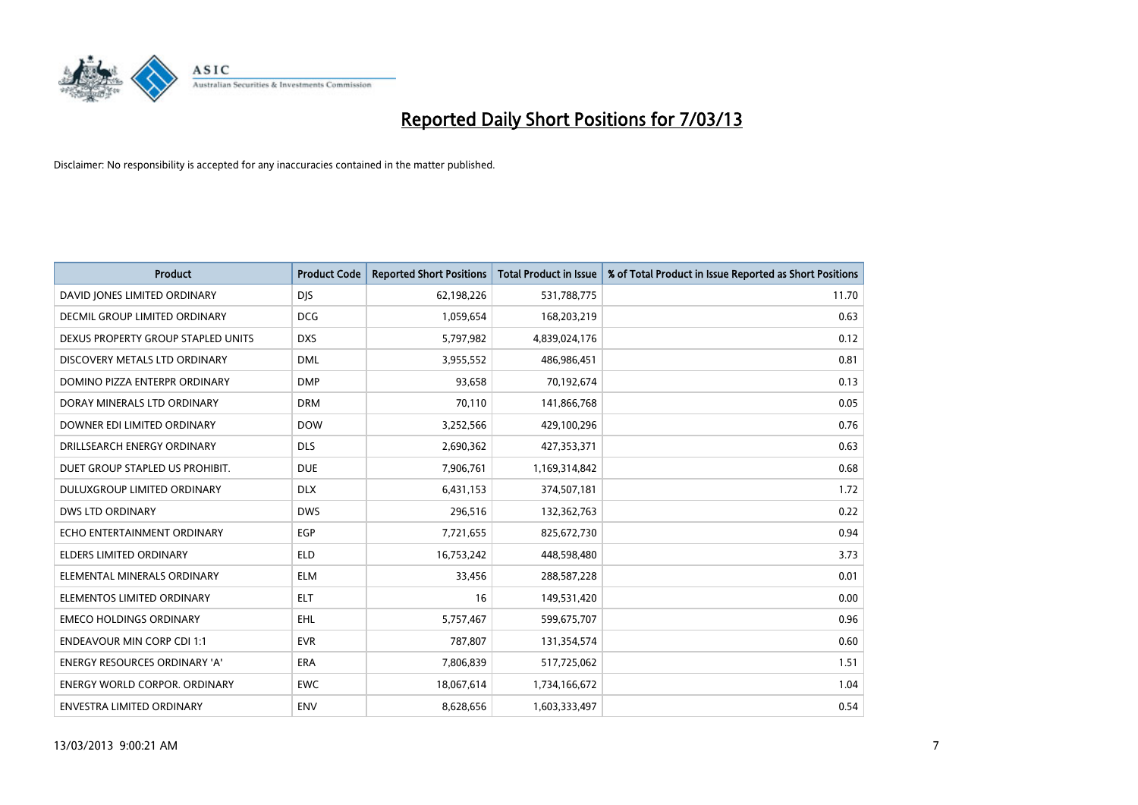

| <b>Product</b>                       | <b>Product Code</b> | <b>Reported Short Positions</b> | <b>Total Product in Issue</b> | % of Total Product in Issue Reported as Short Positions |
|--------------------------------------|---------------------|---------------------------------|-------------------------------|---------------------------------------------------------|
| DAVID JONES LIMITED ORDINARY         | <b>DJS</b>          | 62,198,226                      | 531,788,775                   | 11.70                                                   |
| DECMIL GROUP LIMITED ORDINARY        | <b>DCG</b>          | 1,059,654                       | 168,203,219                   | 0.63                                                    |
| DEXUS PROPERTY GROUP STAPLED UNITS   | <b>DXS</b>          | 5,797,982                       | 4,839,024,176                 | 0.12                                                    |
| DISCOVERY METALS LTD ORDINARY        | <b>DML</b>          | 3,955,552                       | 486,986,451                   | 0.81                                                    |
| DOMINO PIZZA ENTERPR ORDINARY        | <b>DMP</b>          | 93,658                          | 70,192,674                    | 0.13                                                    |
| DORAY MINERALS LTD ORDINARY          | <b>DRM</b>          | 70,110                          | 141,866,768                   | 0.05                                                    |
| DOWNER EDI LIMITED ORDINARY          | <b>DOW</b>          | 3,252,566                       | 429,100,296                   | 0.76                                                    |
| DRILLSEARCH ENERGY ORDINARY          | <b>DLS</b>          | 2,690,362                       | 427,353,371                   | 0.63                                                    |
| DUET GROUP STAPLED US PROHIBIT.      | <b>DUE</b>          | 7,906,761                       | 1,169,314,842                 | 0.68                                                    |
| DULUXGROUP LIMITED ORDINARY          | <b>DLX</b>          | 6,431,153                       | 374,507,181                   | 1.72                                                    |
| DWS LTD ORDINARY                     | <b>DWS</b>          | 296,516                         | 132,362,763                   | 0.22                                                    |
| ECHO ENTERTAINMENT ORDINARY          | EGP                 | 7,721,655                       | 825,672,730                   | 0.94                                                    |
| <b>ELDERS LIMITED ORDINARY</b>       | <b>ELD</b>          | 16,753,242                      | 448,598,480                   | 3.73                                                    |
| ELEMENTAL MINERALS ORDINARY          | <b>ELM</b>          | 33,456                          | 288,587,228                   | 0.01                                                    |
| ELEMENTOS LIMITED ORDINARY           | <b>ELT</b>          | 16                              | 149,531,420                   | 0.00                                                    |
| <b>EMECO HOLDINGS ORDINARY</b>       | <b>EHL</b>          | 5,757,467                       | 599,675,707                   | 0.96                                                    |
| <b>ENDEAVOUR MIN CORP CDI 1:1</b>    | <b>EVR</b>          | 787,807                         | 131,354,574                   | 0.60                                                    |
| ENERGY RESOURCES ORDINARY 'A'        | ERA                 | 7,806,839                       | 517,725,062                   | 1.51                                                    |
| <b>ENERGY WORLD CORPOR, ORDINARY</b> | <b>EWC</b>          | 18,067,614                      | 1,734,166,672                 | 1.04                                                    |
| ENVESTRA LIMITED ORDINARY            | <b>ENV</b>          | 8,628,656                       | 1,603,333,497                 | 0.54                                                    |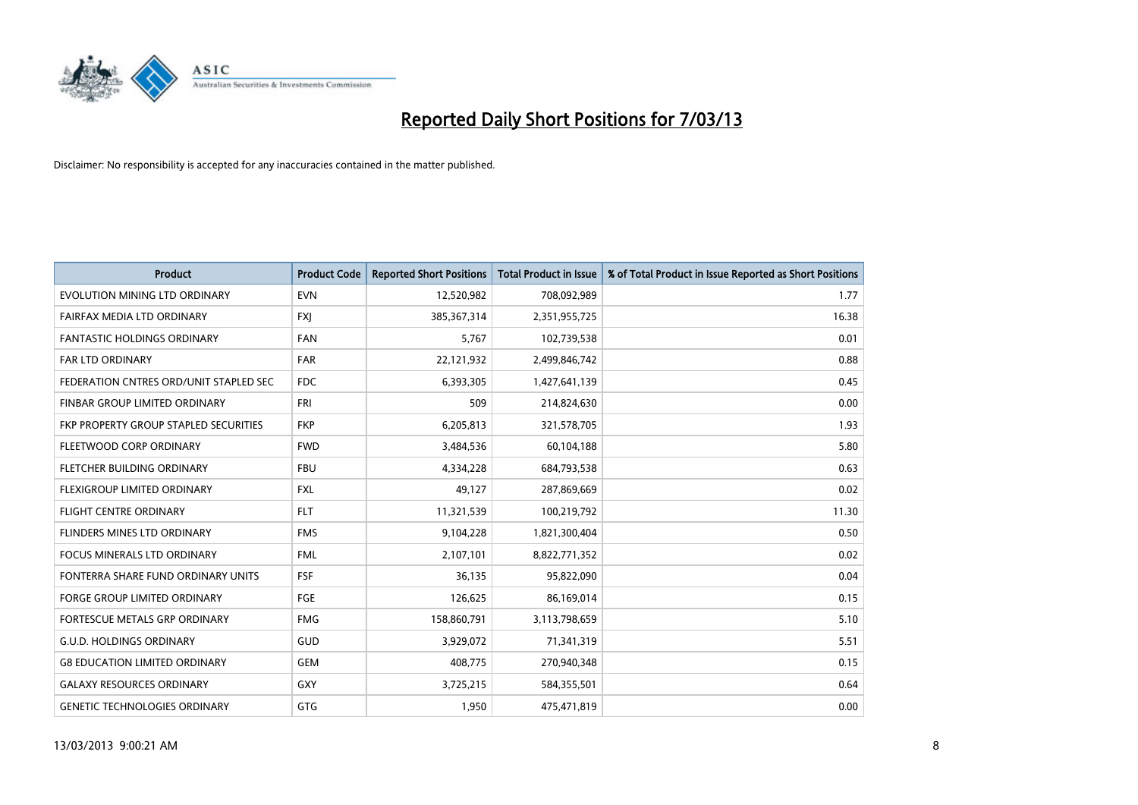

| <b>Product</b>                         | <b>Product Code</b> | <b>Reported Short Positions</b> | <b>Total Product in Issue</b> | % of Total Product in Issue Reported as Short Positions |
|----------------------------------------|---------------------|---------------------------------|-------------------------------|---------------------------------------------------------|
| EVOLUTION MINING LTD ORDINARY          | <b>EVN</b>          | 12,520,982                      | 708,092,989                   | 1.77                                                    |
| FAIRFAX MEDIA LTD ORDINARY             | <b>FXI</b>          | 385, 367, 314                   | 2,351,955,725                 | 16.38                                                   |
| <b>FANTASTIC HOLDINGS ORDINARY</b>     | <b>FAN</b>          | 5,767                           | 102,739,538                   | 0.01                                                    |
| <b>FAR LTD ORDINARY</b>                | <b>FAR</b>          | 22,121,932                      | 2,499,846,742                 | 0.88                                                    |
| FEDERATION CNTRES ORD/UNIT STAPLED SEC | <b>FDC</b>          | 6,393,305                       | 1,427,641,139                 | 0.45                                                    |
| FINBAR GROUP LIMITED ORDINARY          | <b>FRI</b>          | 509                             | 214,824,630                   | 0.00                                                    |
| FKP PROPERTY GROUP STAPLED SECURITIES  | <b>FKP</b>          | 6,205,813                       | 321,578,705                   | 1.93                                                    |
| FLEETWOOD CORP ORDINARY                | <b>FWD</b>          | 3,484,536                       | 60,104,188                    | 5.80                                                    |
| FLETCHER BUILDING ORDINARY             | <b>FBU</b>          | 4,334,228                       | 684,793,538                   | 0.63                                                    |
| FLEXIGROUP LIMITED ORDINARY            | <b>FXL</b>          | 49,127                          | 287,869,669                   | 0.02                                                    |
| <b>FLIGHT CENTRE ORDINARY</b>          | <b>FLT</b>          | 11,321,539                      | 100,219,792                   | 11.30                                                   |
| <b>FLINDERS MINES LTD ORDINARY</b>     | <b>FMS</b>          | 9,104,228                       | 1,821,300,404                 | 0.50                                                    |
| <b>FOCUS MINERALS LTD ORDINARY</b>     | <b>FML</b>          | 2,107,101                       | 8,822,771,352                 | 0.02                                                    |
| FONTERRA SHARE FUND ORDINARY UNITS     | <b>FSF</b>          | 36,135                          | 95,822,090                    | 0.04                                                    |
| <b>FORGE GROUP LIMITED ORDINARY</b>    | FGE                 | 126,625                         | 86,169,014                    | 0.15                                                    |
| FORTESCUE METALS GRP ORDINARY          | <b>FMG</b>          | 158,860,791                     | 3,113,798,659                 | 5.10                                                    |
| G.U.D. HOLDINGS ORDINARY               | GUD                 | 3,929,072                       | 71,341,319                    | 5.51                                                    |
| <b>G8 EDUCATION LIMITED ORDINARY</b>   | <b>GEM</b>          | 408,775                         | 270,940,348                   | 0.15                                                    |
| <b>GALAXY RESOURCES ORDINARY</b>       | GXY                 | 3,725,215                       | 584,355,501                   | 0.64                                                    |
| <b>GENETIC TECHNOLOGIES ORDINARY</b>   | <b>GTG</b>          | 1.950                           | 475,471,819                   | 0.00                                                    |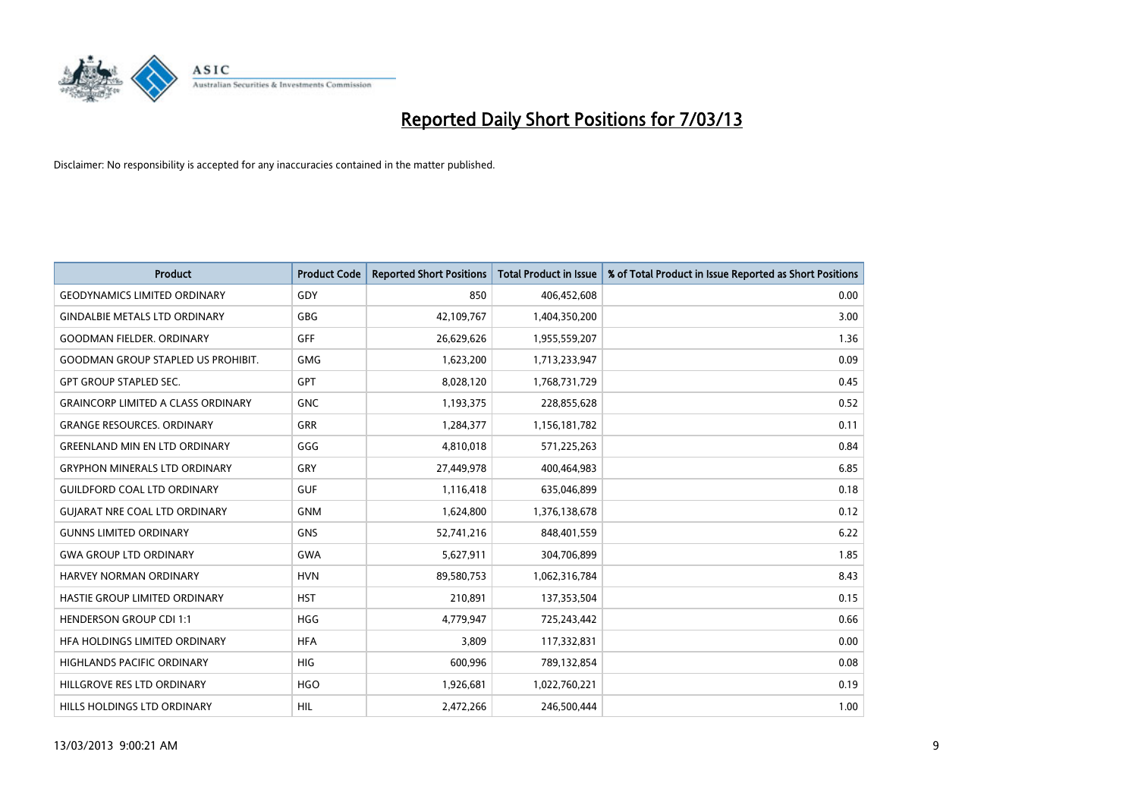

| <b>Product</b>                            | <b>Product Code</b> | <b>Reported Short Positions</b> | <b>Total Product in Issue</b> | % of Total Product in Issue Reported as Short Positions |
|-------------------------------------------|---------------------|---------------------------------|-------------------------------|---------------------------------------------------------|
| <b>GEODYNAMICS LIMITED ORDINARY</b>       | GDY                 | 850                             | 406,452,608                   | 0.00                                                    |
| <b>GINDALBIE METALS LTD ORDINARY</b>      | GBG                 | 42,109,767                      | 1,404,350,200                 | 3.00                                                    |
| <b>GOODMAN FIELDER, ORDINARY</b>          | GFF                 | 26,629,626                      | 1,955,559,207                 | 1.36                                                    |
| <b>GOODMAN GROUP STAPLED US PROHIBIT.</b> | <b>GMG</b>          | 1,623,200                       | 1,713,233,947                 | 0.09                                                    |
| <b>GPT GROUP STAPLED SEC.</b>             | <b>GPT</b>          | 8,028,120                       | 1,768,731,729                 | 0.45                                                    |
| <b>GRAINCORP LIMITED A CLASS ORDINARY</b> | <b>GNC</b>          | 1,193,375                       | 228,855,628                   | 0.52                                                    |
| <b>GRANGE RESOURCES. ORDINARY</b>         | GRR                 | 1,284,377                       | 1,156,181,782                 | 0.11                                                    |
| <b>GREENLAND MIN EN LTD ORDINARY</b>      | GGG                 | 4,810,018                       | 571,225,263                   | 0.84                                                    |
| <b>GRYPHON MINERALS LTD ORDINARY</b>      | GRY                 | 27,449,978                      | 400,464,983                   | 6.85                                                    |
| <b>GUILDFORD COAL LTD ORDINARY</b>        | <b>GUF</b>          | 1,116,418                       | 635,046,899                   | 0.18                                                    |
| <b>GUIARAT NRE COAL LTD ORDINARY</b>      | <b>GNM</b>          | 1,624,800                       | 1,376,138,678                 | 0.12                                                    |
| <b>GUNNS LIMITED ORDINARY</b>             | <b>GNS</b>          | 52,741,216                      | 848,401,559                   | 6.22                                                    |
| <b>GWA GROUP LTD ORDINARY</b>             | <b>GWA</b>          | 5,627,911                       | 304,706,899                   | 1.85                                                    |
| HARVEY NORMAN ORDINARY                    | <b>HVN</b>          | 89,580,753                      | 1,062,316,784                 | 8.43                                                    |
| HASTIE GROUP LIMITED ORDINARY             | <b>HST</b>          | 210,891                         | 137,353,504                   | 0.15                                                    |
| HENDERSON GROUP CDI 1:1                   | <b>HGG</b>          | 4,779,947                       | 725,243,442                   | 0.66                                                    |
| HEA HOLDINGS LIMITED ORDINARY             | <b>HFA</b>          | 3,809                           | 117,332,831                   | 0.00                                                    |
| HIGHLANDS PACIFIC ORDINARY                | <b>HIG</b>          | 600,996                         | 789,132,854                   | 0.08                                                    |
| HILLGROVE RES LTD ORDINARY                | <b>HGO</b>          | 1,926,681                       | 1,022,760,221                 | 0.19                                                    |
| HILLS HOLDINGS LTD ORDINARY               | <b>HIL</b>          | 2,472,266                       | 246,500,444                   | 1.00                                                    |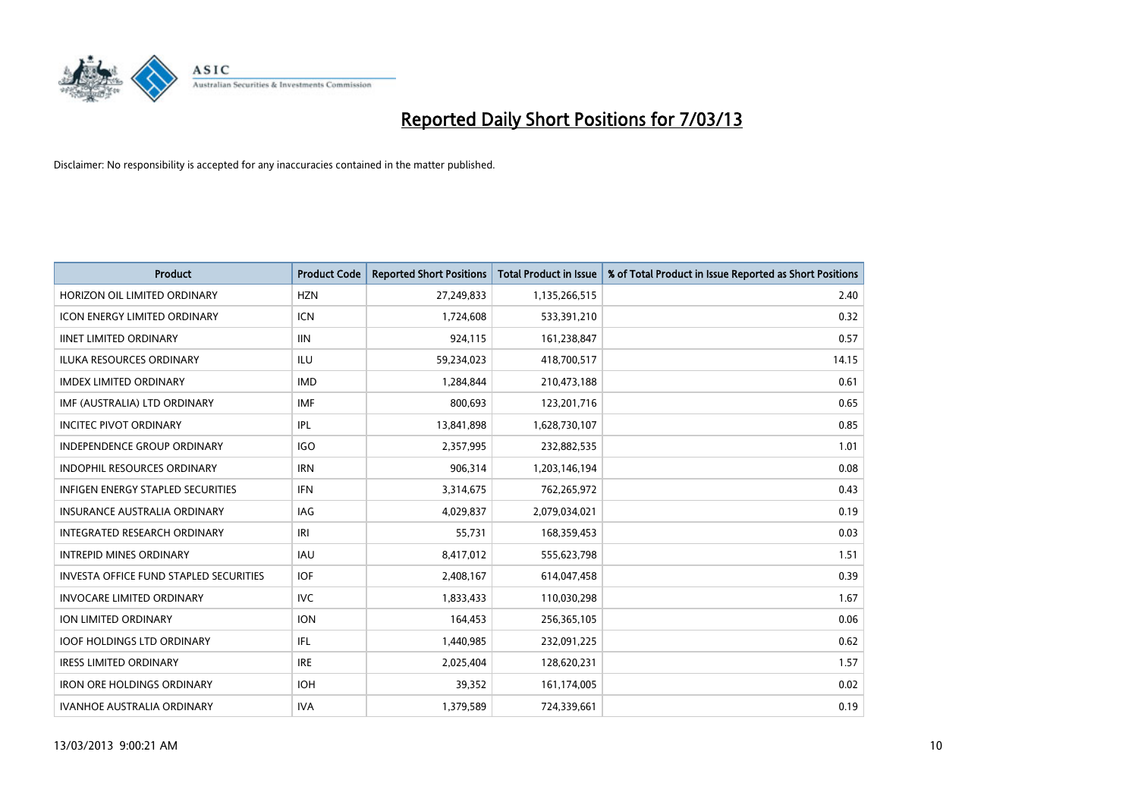

| <b>Product</b>                                | <b>Product Code</b> | <b>Reported Short Positions</b> | <b>Total Product in Issue</b> | % of Total Product in Issue Reported as Short Positions |
|-----------------------------------------------|---------------------|---------------------------------|-------------------------------|---------------------------------------------------------|
| HORIZON OIL LIMITED ORDINARY                  | <b>HZN</b>          | 27,249,833                      | 1,135,266,515                 | 2.40                                                    |
| ICON ENERGY LIMITED ORDINARY                  | <b>ICN</b>          | 1,724,608                       | 533,391,210                   | 0.32                                                    |
| <b>IINET LIMITED ORDINARY</b>                 | <b>IIN</b>          | 924,115                         | 161,238,847                   | 0.57                                                    |
| ILUKA RESOURCES ORDINARY                      | ILU                 | 59,234,023                      | 418,700,517                   | 14.15                                                   |
| <b>IMDEX LIMITED ORDINARY</b>                 | <b>IMD</b>          | 1,284,844                       | 210,473,188                   | 0.61                                                    |
| IMF (AUSTRALIA) LTD ORDINARY                  | <b>IMF</b>          | 800,693                         | 123,201,716                   | 0.65                                                    |
| <b>INCITEC PIVOT ORDINARY</b>                 | IPL                 | 13,841,898                      | 1,628,730,107                 | 0.85                                                    |
| <b>INDEPENDENCE GROUP ORDINARY</b>            | <b>IGO</b>          | 2,357,995                       | 232,882,535                   | 1.01                                                    |
| INDOPHIL RESOURCES ORDINARY                   | <b>IRN</b>          | 906,314                         | 1,203,146,194                 | 0.08                                                    |
| <b>INFIGEN ENERGY STAPLED SECURITIES</b>      | IFN                 | 3,314,675                       | 762,265,972                   | 0.43                                                    |
| INSURANCE AUSTRALIA ORDINARY                  | IAG                 | 4,029,837                       | 2,079,034,021                 | 0.19                                                    |
| <b>INTEGRATED RESEARCH ORDINARY</b>           | IRI                 | 55,731                          | 168,359,453                   | 0.03                                                    |
| <b>INTREPID MINES ORDINARY</b>                | <b>IAU</b>          | 8,417,012                       | 555,623,798                   | 1.51                                                    |
| <b>INVESTA OFFICE FUND STAPLED SECURITIES</b> | <b>IOF</b>          | 2,408,167                       | 614,047,458                   | 0.39                                                    |
| <b>INVOCARE LIMITED ORDINARY</b>              | <b>IVC</b>          | 1,833,433                       | 110,030,298                   | 1.67                                                    |
| ION LIMITED ORDINARY                          | <b>ION</b>          | 164,453                         | 256,365,105                   | 0.06                                                    |
| <b>IOOF HOLDINGS LTD ORDINARY</b>             | IFL                 | 1,440,985                       | 232,091,225                   | 0.62                                                    |
| <b>IRESS LIMITED ORDINARY</b>                 | <b>IRE</b>          | 2,025,404                       | 128,620,231                   | 1.57                                                    |
| <b>IRON ORE HOLDINGS ORDINARY</b>             | <b>IOH</b>          | 39,352                          | 161,174,005                   | 0.02                                                    |
| <b>IVANHOE AUSTRALIA ORDINARY</b>             | <b>IVA</b>          | 1,379,589                       | 724,339,661                   | 0.19                                                    |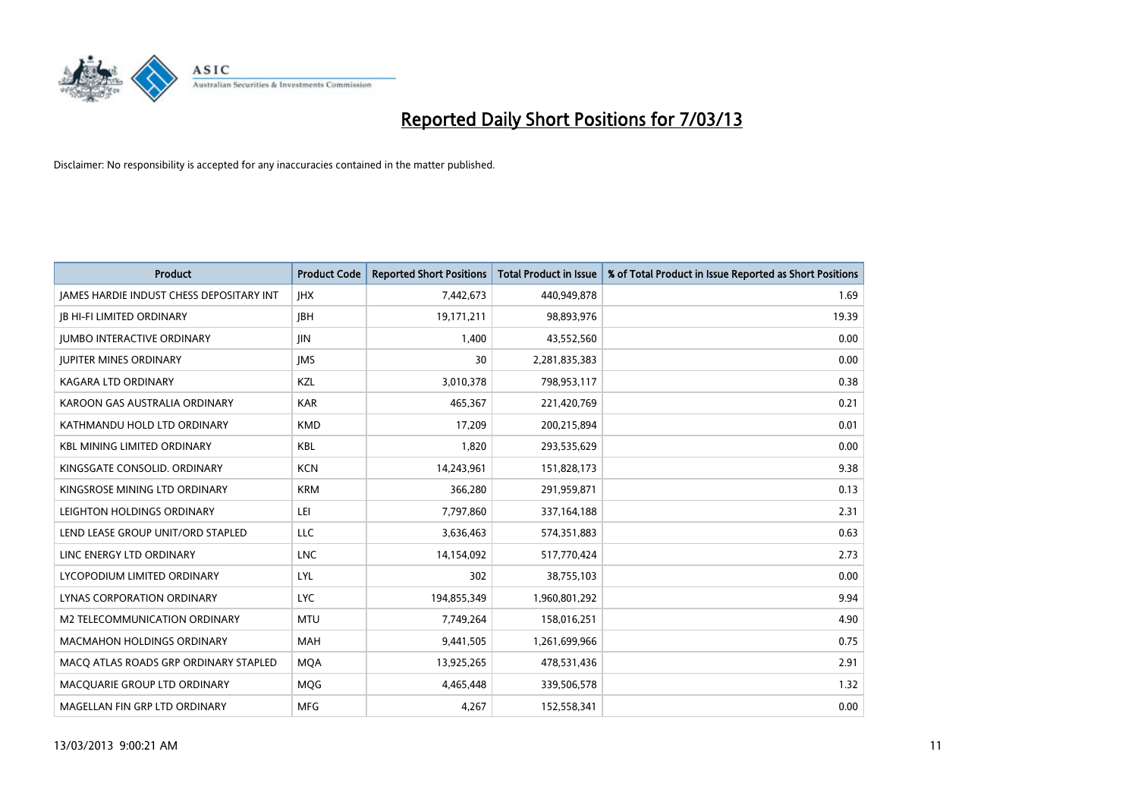

| <b>Product</b>                                  | <b>Product Code</b> | <b>Reported Short Positions</b> | <b>Total Product in Issue</b> | % of Total Product in Issue Reported as Short Positions |
|-------------------------------------------------|---------------------|---------------------------------|-------------------------------|---------------------------------------------------------|
| <b>JAMES HARDIE INDUST CHESS DEPOSITARY INT</b> | <b>IHX</b>          | 7,442,673                       | 440,949,878                   | 1.69                                                    |
| <b>JB HI-FI LIMITED ORDINARY</b>                | <b>IBH</b>          | 19,171,211                      | 98,893,976                    | 19.39                                                   |
| <b>JUMBO INTERACTIVE ORDINARY</b>               | <b>JIN</b>          | 1,400                           | 43,552,560                    | 0.00                                                    |
| <b>JUPITER MINES ORDINARY</b>                   | <b>IMS</b>          | 30                              | 2,281,835,383                 | 0.00                                                    |
| <b>KAGARA LTD ORDINARY</b>                      | <b>KZL</b>          | 3,010,378                       | 798,953,117                   | 0.38                                                    |
| KAROON GAS AUSTRALIA ORDINARY                   | <b>KAR</b>          | 465,367                         | 221,420,769                   | 0.21                                                    |
| KATHMANDU HOLD LTD ORDINARY                     | <b>KMD</b>          | 17.209                          | 200,215,894                   | 0.01                                                    |
| <b>KBL MINING LIMITED ORDINARY</b>              | <b>KBL</b>          | 1,820                           | 293,535,629                   | 0.00                                                    |
| KINGSGATE CONSOLID. ORDINARY                    | <b>KCN</b>          | 14,243,961                      | 151,828,173                   | 9.38                                                    |
| KINGSROSE MINING LTD ORDINARY                   | <b>KRM</b>          | 366,280                         | 291,959,871                   | 0.13                                                    |
| LEIGHTON HOLDINGS ORDINARY                      | LEI                 | 7,797,860                       | 337,164,188                   | 2.31                                                    |
| LEND LEASE GROUP UNIT/ORD STAPLED               | <b>LLC</b>          | 3,636,463                       | 574,351,883                   | 0.63                                                    |
| LINC ENERGY LTD ORDINARY                        | <b>LNC</b>          | 14,154,092                      | 517,770,424                   | 2.73                                                    |
| LYCOPODIUM LIMITED ORDINARY                     | LYL                 | 302                             | 38,755,103                    | 0.00                                                    |
| LYNAS CORPORATION ORDINARY                      | <b>LYC</b>          | 194,855,349                     | 1,960,801,292                 | 9.94                                                    |
| M2 TELECOMMUNICATION ORDINARY                   | <b>MTU</b>          | 7,749,264                       | 158,016,251                   | 4.90                                                    |
| <b>MACMAHON HOLDINGS ORDINARY</b>               | <b>MAH</b>          | 9,441,505                       | 1,261,699,966                 | 0.75                                                    |
| MACQ ATLAS ROADS GRP ORDINARY STAPLED           | <b>MOA</b>          | 13,925,265                      | 478,531,436                   | 2.91                                                    |
| MACOUARIE GROUP LTD ORDINARY                    | <b>MOG</b>          | 4,465,448                       | 339,506,578                   | 1.32                                                    |
| MAGELLAN FIN GRP LTD ORDINARY                   | <b>MFG</b>          | 4.267                           | 152,558,341                   | 0.00                                                    |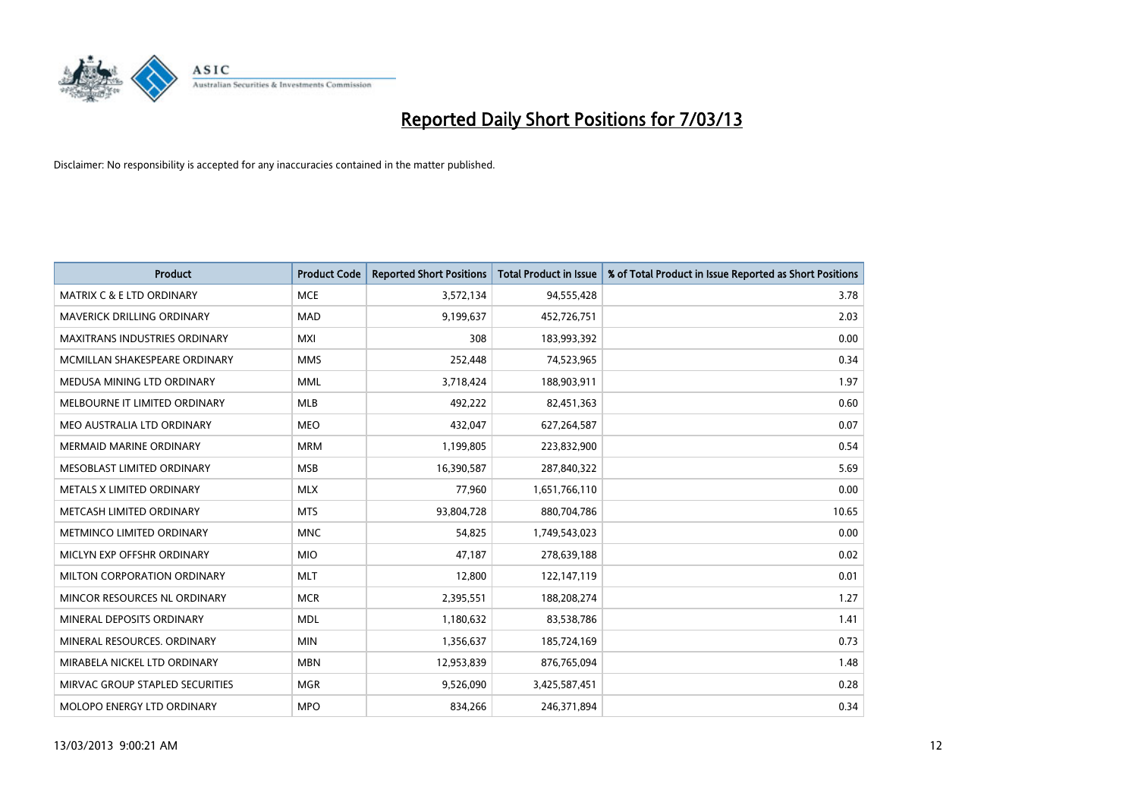

| <b>Product</b>                       | <b>Product Code</b> | <b>Reported Short Positions</b> | <b>Total Product in Issue</b> | % of Total Product in Issue Reported as Short Positions |
|--------------------------------------|---------------------|---------------------------------|-------------------------------|---------------------------------------------------------|
| <b>MATRIX C &amp; E LTD ORDINARY</b> | <b>MCE</b>          | 3,572,134                       | 94,555,428                    | 3.78                                                    |
| MAVERICK DRILLING ORDINARY           | <b>MAD</b>          | 9,199,637                       | 452,726,751                   | 2.03                                                    |
| MAXITRANS INDUSTRIES ORDINARY        | <b>MXI</b>          | 308                             | 183,993,392                   | 0.00                                                    |
| MCMILLAN SHAKESPEARE ORDINARY        | <b>MMS</b>          | 252,448                         | 74,523,965                    | 0.34                                                    |
| MEDUSA MINING LTD ORDINARY           | <b>MML</b>          | 3,718,424                       | 188,903,911                   | 1.97                                                    |
| MELBOURNE IT LIMITED ORDINARY        | <b>MLB</b>          | 492,222                         | 82,451,363                    | 0.60                                                    |
| MEO AUSTRALIA LTD ORDINARY           | <b>MEO</b>          | 432,047                         | 627,264,587                   | 0.07                                                    |
| <b>MERMAID MARINE ORDINARY</b>       | <b>MRM</b>          | 1,199,805                       | 223,832,900                   | 0.54                                                    |
| MESOBLAST LIMITED ORDINARY           | <b>MSB</b>          | 16,390,587                      | 287,840,322                   | 5.69                                                    |
| METALS X LIMITED ORDINARY            | <b>MLX</b>          | 77,960                          | 1,651,766,110                 | 0.00                                                    |
| METCASH LIMITED ORDINARY             | <b>MTS</b>          | 93,804,728                      | 880,704,786                   | 10.65                                                   |
| METMINCO LIMITED ORDINARY            | <b>MNC</b>          | 54,825                          | 1,749,543,023                 | 0.00                                                    |
| MICLYN EXP OFFSHR ORDINARY           | <b>MIO</b>          | 47,187                          | 278,639,188                   | 0.02                                                    |
| MILTON CORPORATION ORDINARY          | <b>MLT</b>          | 12,800                          | 122,147,119                   | 0.01                                                    |
| MINCOR RESOURCES NL ORDINARY         | <b>MCR</b>          | 2,395,551                       | 188,208,274                   | 1.27                                                    |
| MINERAL DEPOSITS ORDINARY            | <b>MDL</b>          | 1,180,632                       | 83,538,786                    | 1.41                                                    |
| MINERAL RESOURCES. ORDINARY          | <b>MIN</b>          | 1,356,637                       | 185,724,169                   | 0.73                                                    |
| MIRABELA NICKEL LTD ORDINARY         | <b>MBN</b>          | 12,953,839                      | 876,765,094                   | 1.48                                                    |
| MIRVAC GROUP STAPLED SECURITIES      | <b>MGR</b>          | 9,526,090                       | 3,425,587,451                 | 0.28                                                    |
| MOLOPO ENERGY LTD ORDINARY           | <b>MPO</b>          | 834,266                         | 246,371,894                   | 0.34                                                    |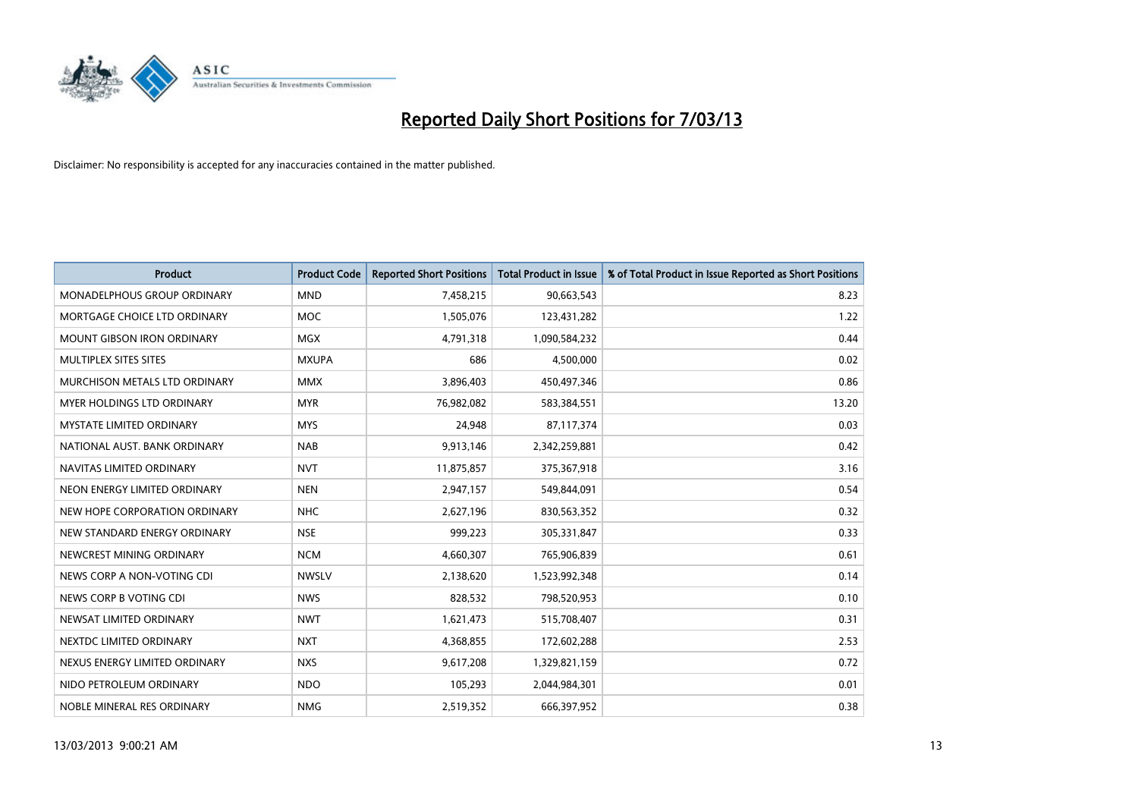

| <b>Product</b>                    | <b>Product Code</b> | <b>Reported Short Positions</b> | <b>Total Product in Issue</b> | % of Total Product in Issue Reported as Short Positions |
|-----------------------------------|---------------------|---------------------------------|-------------------------------|---------------------------------------------------------|
| MONADELPHOUS GROUP ORDINARY       | <b>MND</b>          | 7,458,215                       | 90,663,543                    | 8.23                                                    |
| MORTGAGE CHOICE LTD ORDINARY      | <b>MOC</b>          | 1,505,076                       | 123,431,282                   | 1.22                                                    |
| <b>MOUNT GIBSON IRON ORDINARY</b> | <b>MGX</b>          | 4,791,318                       | 1,090,584,232                 | 0.44                                                    |
| MULTIPLEX SITES SITES             | <b>MXUPA</b>        | 686                             | 4,500,000                     | 0.02                                                    |
| MURCHISON METALS LTD ORDINARY     | <b>MMX</b>          | 3,896,403                       | 450,497,346                   | 0.86                                                    |
| <b>MYER HOLDINGS LTD ORDINARY</b> | <b>MYR</b>          | 76,982,082                      | 583,384,551                   | 13.20                                                   |
| <b>MYSTATE LIMITED ORDINARY</b>   | <b>MYS</b>          | 24,948                          | 87,117,374                    | 0.03                                                    |
| NATIONAL AUST, BANK ORDINARY      | <b>NAB</b>          | 9,913,146                       | 2,342,259,881                 | 0.42                                                    |
| NAVITAS LIMITED ORDINARY          | <b>NVT</b>          | 11,875,857                      | 375,367,918                   | 3.16                                                    |
| NEON ENERGY LIMITED ORDINARY      | <b>NEN</b>          | 2,947,157                       | 549,844,091                   | 0.54                                                    |
| NEW HOPE CORPORATION ORDINARY     | NHC                 | 2,627,196                       | 830,563,352                   | 0.32                                                    |
| NEW STANDARD ENERGY ORDINARY      | <b>NSE</b>          | 999,223                         | 305,331,847                   | 0.33                                                    |
| NEWCREST MINING ORDINARY          | <b>NCM</b>          | 4,660,307                       | 765,906,839                   | 0.61                                                    |
| NEWS CORP A NON-VOTING CDI        | <b>NWSLV</b>        | 2,138,620                       | 1,523,992,348                 | 0.14                                                    |
| NEWS CORP B VOTING CDI            | <b>NWS</b>          | 828,532                         | 798,520,953                   | 0.10                                                    |
| NEWSAT LIMITED ORDINARY           | <b>NWT</b>          | 1,621,473                       | 515,708,407                   | 0.31                                                    |
| NEXTDC LIMITED ORDINARY           | <b>NXT</b>          | 4,368,855                       | 172,602,288                   | 2.53                                                    |
| NEXUS ENERGY LIMITED ORDINARY     | <b>NXS</b>          | 9,617,208                       | 1,329,821,159                 | 0.72                                                    |
| NIDO PETROLEUM ORDINARY           | <b>NDO</b>          | 105,293                         | 2,044,984,301                 | 0.01                                                    |
| NOBLE MINERAL RES ORDINARY        | <b>NMG</b>          | 2,519,352                       | 666,397,952                   | 0.38                                                    |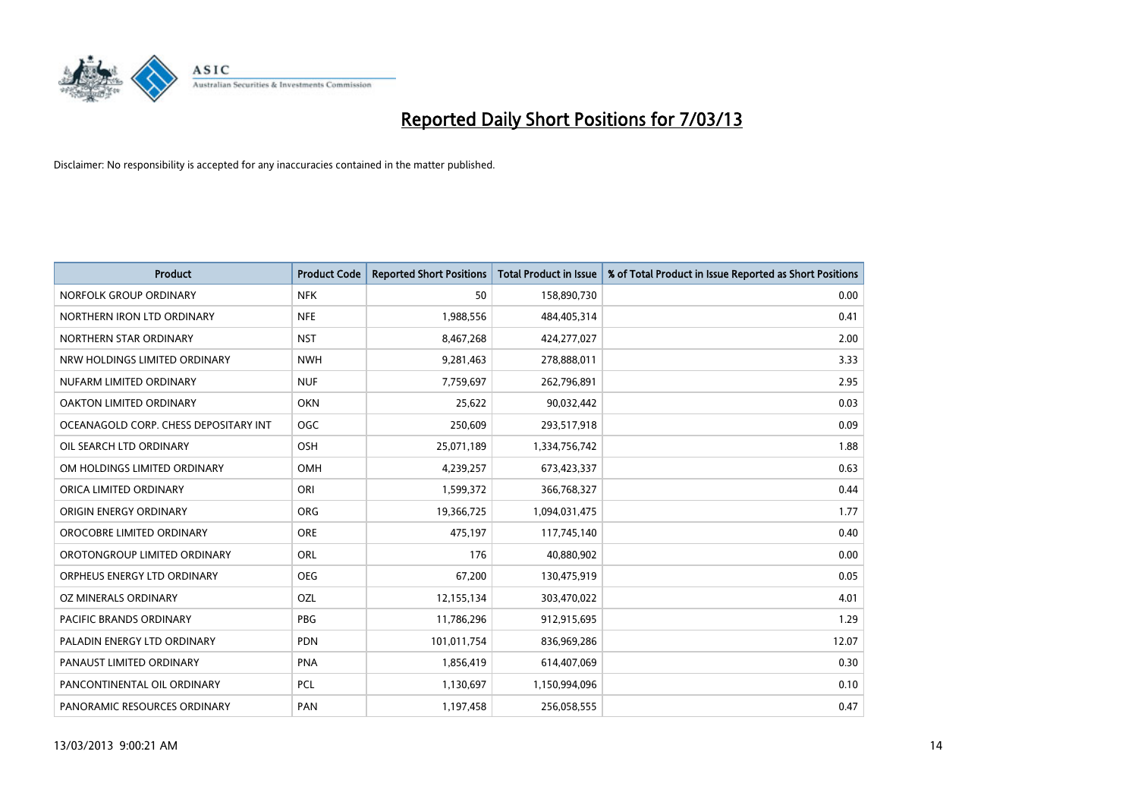

| <b>Product</b>                        | <b>Product Code</b> | <b>Reported Short Positions</b> | <b>Total Product in Issue</b> | % of Total Product in Issue Reported as Short Positions |
|---------------------------------------|---------------------|---------------------------------|-------------------------------|---------------------------------------------------------|
| NORFOLK GROUP ORDINARY                | <b>NFK</b>          | 50                              | 158,890,730                   | 0.00                                                    |
| NORTHERN IRON LTD ORDINARY            | <b>NFE</b>          | 1,988,556                       | 484,405,314                   | 0.41                                                    |
| NORTHERN STAR ORDINARY                | <b>NST</b>          | 8,467,268                       | 424,277,027                   | 2.00                                                    |
| NRW HOLDINGS LIMITED ORDINARY         | <b>NWH</b>          | 9,281,463                       | 278,888,011                   | 3.33                                                    |
| NUFARM LIMITED ORDINARY               | <b>NUF</b>          | 7,759,697                       | 262,796,891                   | 2.95                                                    |
| OAKTON LIMITED ORDINARY               | <b>OKN</b>          | 25.622                          | 90,032,442                    | 0.03                                                    |
| OCEANAGOLD CORP. CHESS DEPOSITARY INT | <b>OGC</b>          | 250,609                         | 293,517,918                   | 0.09                                                    |
| OIL SEARCH LTD ORDINARY               | OSH                 | 25,071,189                      | 1,334,756,742                 | 1.88                                                    |
| OM HOLDINGS LIMITED ORDINARY          | OMH                 | 4,239,257                       | 673,423,337                   | 0.63                                                    |
| ORICA LIMITED ORDINARY                | ORI                 | 1,599,372                       | 366,768,327                   | 0.44                                                    |
| ORIGIN ENERGY ORDINARY                | ORG                 | 19,366,725                      | 1,094,031,475                 | 1.77                                                    |
| OROCOBRE LIMITED ORDINARY             | <b>ORE</b>          | 475,197                         | 117,745,140                   | 0.40                                                    |
| OROTONGROUP LIMITED ORDINARY          | ORL                 | 176                             | 40,880,902                    | 0.00                                                    |
| ORPHEUS ENERGY LTD ORDINARY           | <b>OEG</b>          | 67,200                          | 130,475,919                   | 0.05                                                    |
| OZ MINERALS ORDINARY                  | OZL                 | 12,155,134                      | 303,470,022                   | 4.01                                                    |
| PACIFIC BRANDS ORDINARY               | <b>PBG</b>          | 11,786,296                      | 912,915,695                   | 1.29                                                    |
| PALADIN ENERGY LTD ORDINARY           | <b>PDN</b>          | 101,011,754                     | 836,969,286                   | 12.07                                                   |
| PANAUST LIMITED ORDINARY              | <b>PNA</b>          | 1,856,419                       | 614,407,069                   | 0.30                                                    |
| PANCONTINENTAL OIL ORDINARY           | PCL                 | 1,130,697                       | 1,150,994,096                 | 0.10                                                    |
| PANORAMIC RESOURCES ORDINARY          | PAN                 | 1,197,458                       | 256,058,555                   | 0.47                                                    |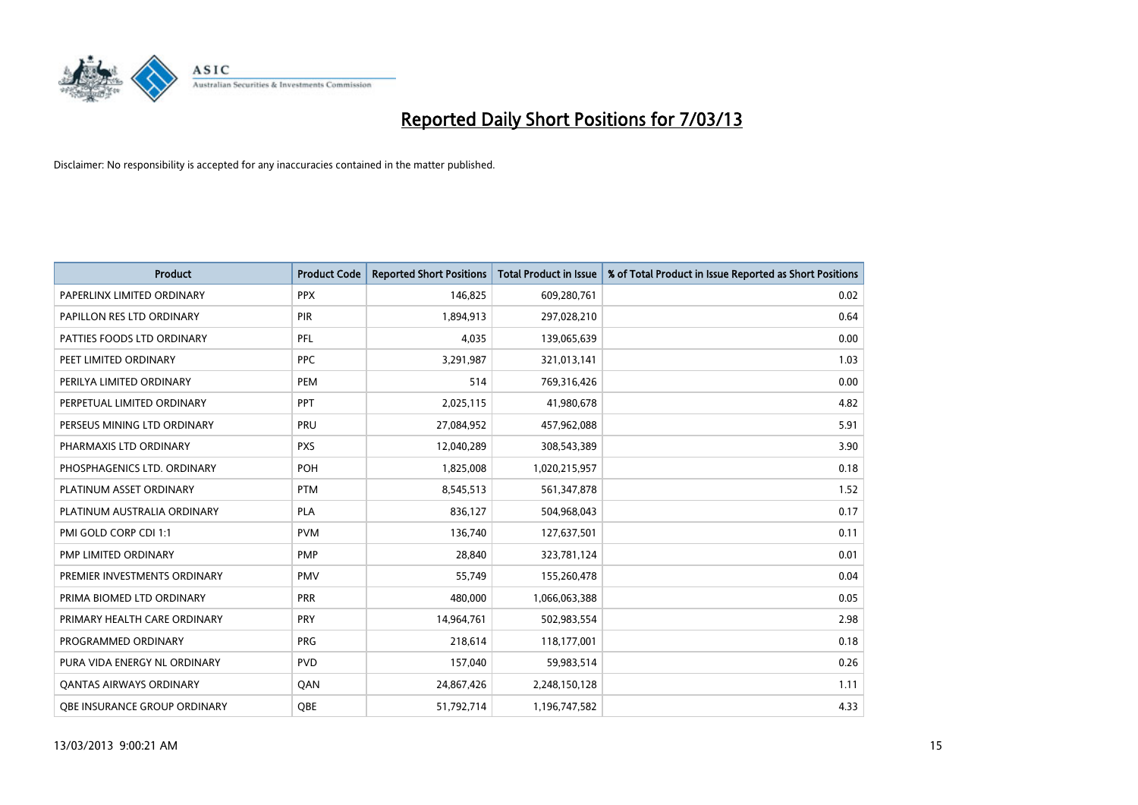

| <b>Product</b>               | <b>Product Code</b> | <b>Reported Short Positions</b> | <b>Total Product in Issue</b> | % of Total Product in Issue Reported as Short Positions |
|------------------------------|---------------------|---------------------------------|-------------------------------|---------------------------------------------------------|
| PAPERLINX LIMITED ORDINARY   | <b>PPX</b>          | 146,825                         | 609,280,761                   | 0.02                                                    |
| PAPILLON RES LTD ORDINARY    | PIR                 | 1,894,913                       | 297,028,210                   | 0.64                                                    |
| PATTIES FOODS LTD ORDINARY   | <b>PFL</b>          | 4,035                           | 139,065,639                   | 0.00                                                    |
| PEET LIMITED ORDINARY        | <b>PPC</b>          | 3,291,987                       | 321,013,141                   | 1.03                                                    |
| PERILYA LIMITED ORDINARY     | PEM                 | 514                             | 769,316,426                   | 0.00                                                    |
| PERPETUAL LIMITED ORDINARY   | <b>PPT</b>          | 2,025,115                       | 41,980,678                    | 4.82                                                    |
| PERSEUS MINING LTD ORDINARY  | PRU                 | 27,084,952                      | 457,962,088                   | 5.91                                                    |
| PHARMAXIS LTD ORDINARY       | <b>PXS</b>          | 12,040,289                      | 308,543,389                   | 3.90                                                    |
| PHOSPHAGENICS LTD. ORDINARY  | POH                 | 1,825,008                       | 1,020,215,957                 | 0.18                                                    |
| PLATINUM ASSET ORDINARY      | <b>PTM</b>          | 8,545,513                       | 561,347,878                   | 1.52                                                    |
| PLATINUM AUSTRALIA ORDINARY  | <b>PLA</b>          | 836,127                         | 504,968,043                   | 0.17                                                    |
| PMI GOLD CORP CDI 1:1        | <b>PVM</b>          | 136,740                         | 127,637,501                   | 0.11                                                    |
| PMP LIMITED ORDINARY         | <b>PMP</b>          | 28,840                          | 323,781,124                   | 0.01                                                    |
| PREMIER INVESTMENTS ORDINARY | <b>PMV</b>          | 55,749                          | 155,260,478                   | 0.04                                                    |
| PRIMA BIOMED LTD ORDINARY    | PRR                 | 480,000                         | 1,066,063,388                 | 0.05                                                    |
| PRIMARY HEALTH CARE ORDINARY | <b>PRY</b>          | 14,964,761                      | 502,983,554                   | 2.98                                                    |
| PROGRAMMED ORDINARY          | <b>PRG</b>          | 218,614                         | 118,177,001                   | 0.18                                                    |
| PURA VIDA ENERGY NL ORDINARY | <b>PVD</b>          | 157,040                         | 59,983,514                    | 0.26                                                    |
| OANTAS AIRWAYS ORDINARY      | <b>OAN</b>          | 24,867,426                      | 2,248,150,128                 | 1.11                                                    |
| OBE INSURANCE GROUP ORDINARY | <b>OBE</b>          | 51,792,714                      | 1,196,747,582                 | 4.33                                                    |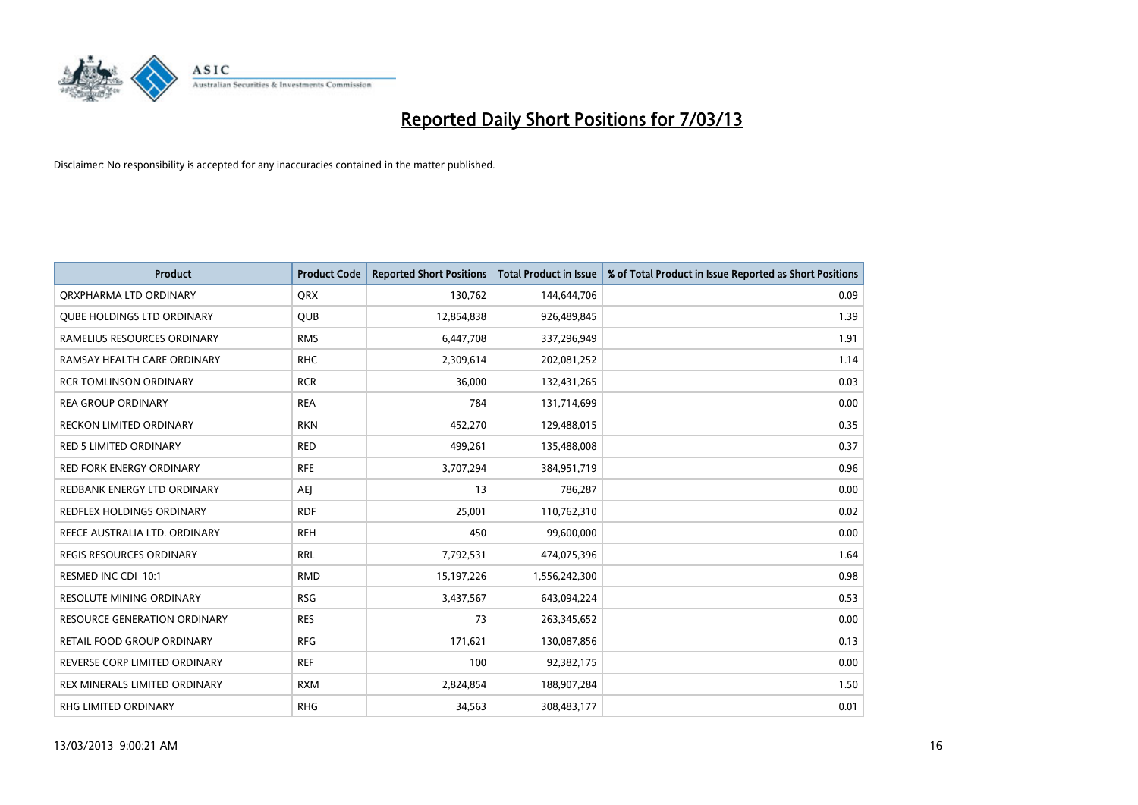

| <b>Product</b>                    | <b>Product Code</b> | <b>Reported Short Positions</b> | Total Product in Issue | % of Total Product in Issue Reported as Short Positions |
|-----------------------------------|---------------------|---------------------------------|------------------------|---------------------------------------------------------|
| ORXPHARMA LTD ORDINARY            | <b>ORX</b>          | 130,762                         | 144,644,706            | 0.09                                                    |
| <b>QUBE HOLDINGS LTD ORDINARY</b> | <b>QUB</b>          | 12,854,838                      | 926,489,845            | 1.39                                                    |
| RAMELIUS RESOURCES ORDINARY       | <b>RMS</b>          | 6,447,708                       | 337,296,949            | 1.91                                                    |
| RAMSAY HEALTH CARE ORDINARY       | <b>RHC</b>          | 2,309,614                       | 202,081,252            | 1.14                                                    |
| <b>RCR TOMLINSON ORDINARY</b>     | <b>RCR</b>          | 36,000                          | 132,431,265            | 0.03                                                    |
| <b>REA GROUP ORDINARY</b>         | <b>REA</b>          | 784                             | 131,714,699            | 0.00                                                    |
| RECKON LIMITED ORDINARY           | <b>RKN</b>          | 452,270                         | 129,488,015            | 0.35                                                    |
| <b>RED 5 LIMITED ORDINARY</b>     | <b>RED</b>          | 499,261                         | 135,488,008            | 0.37                                                    |
| <b>RED FORK ENERGY ORDINARY</b>   | <b>RFE</b>          | 3,707,294                       | 384,951,719            | 0.96                                                    |
| REDBANK ENERGY LTD ORDINARY       | AEI                 | 13                              | 786,287                | 0.00                                                    |
| REDFLEX HOLDINGS ORDINARY         | <b>RDF</b>          | 25,001                          | 110,762,310            | 0.02                                                    |
| REECE AUSTRALIA LTD. ORDINARY     | <b>REH</b>          | 450                             | 99,600,000             | 0.00                                                    |
| REGIS RESOURCES ORDINARY          | <b>RRL</b>          | 7,792,531                       | 474,075,396            | 1.64                                                    |
| RESMED INC CDI 10:1               | <b>RMD</b>          | 15,197,226                      | 1,556,242,300          | 0.98                                                    |
| <b>RESOLUTE MINING ORDINARY</b>   | <b>RSG</b>          | 3,437,567                       | 643,094,224            | 0.53                                                    |
| RESOURCE GENERATION ORDINARY      | <b>RES</b>          | 73                              | 263,345,652            | 0.00                                                    |
| RETAIL FOOD GROUP ORDINARY        | <b>RFG</b>          | 171,621                         | 130,087,856            | 0.13                                                    |
| REVERSE CORP LIMITED ORDINARY     | <b>REF</b>          | 100                             | 92,382,175             | 0.00                                                    |
| REX MINERALS LIMITED ORDINARY     | <b>RXM</b>          | 2,824,854                       | 188,907,284            | 1.50                                                    |
| RHG LIMITED ORDINARY              | <b>RHG</b>          | 34,563                          | 308,483,177            | 0.01                                                    |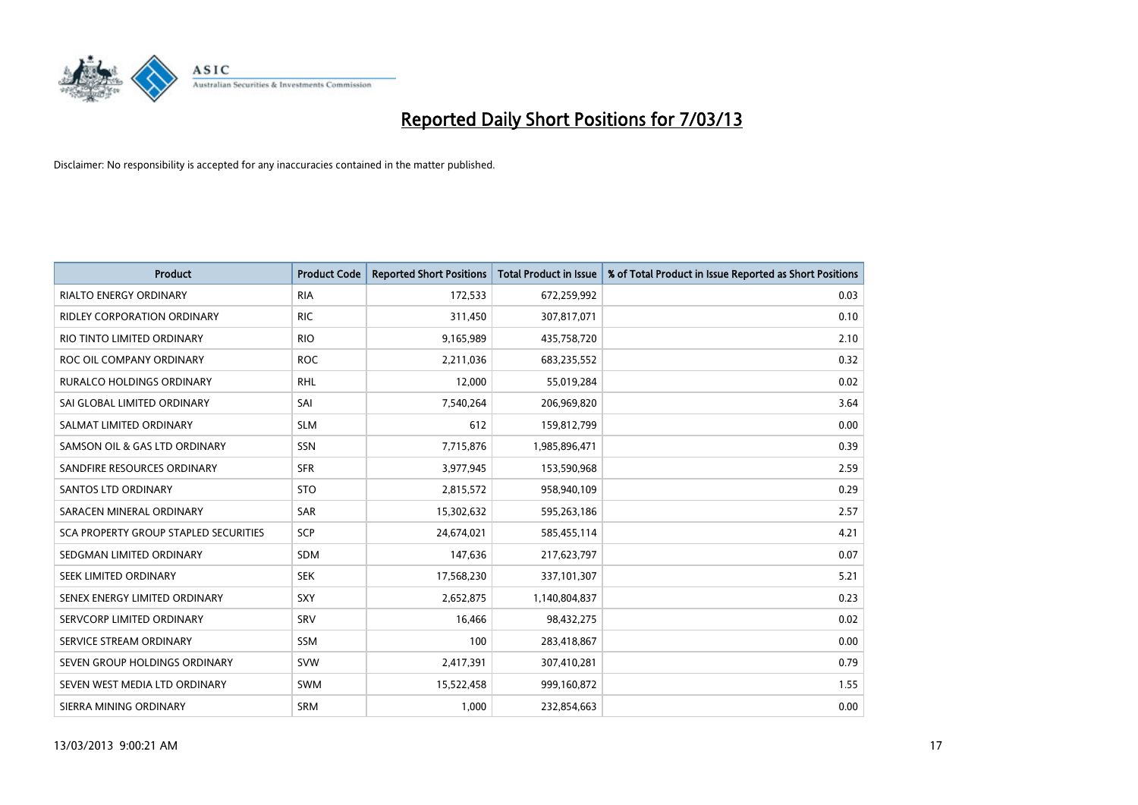

| <b>Product</b>                               | <b>Product Code</b> | <b>Reported Short Positions</b> | <b>Total Product in Issue</b> | % of Total Product in Issue Reported as Short Positions |
|----------------------------------------------|---------------------|---------------------------------|-------------------------------|---------------------------------------------------------|
| <b>RIALTO ENERGY ORDINARY</b>                | <b>RIA</b>          | 172,533                         | 672,259,992                   | 0.03                                                    |
| <b>RIDLEY CORPORATION ORDINARY</b>           | <b>RIC</b>          | 311,450                         | 307,817,071                   | 0.10                                                    |
| RIO TINTO LIMITED ORDINARY                   | <b>RIO</b>          | 9,165,989                       | 435,758,720                   | 2.10                                                    |
| ROC OIL COMPANY ORDINARY                     | <b>ROC</b>          | 2,211,036                       | 683,235,552                   | 0.32                                                    |
| <b>RURALCO HOLDINGS ORDINARY</b>             | <b>RHL</b>          | 12,000                          | 55,019,284                    | 0.02                                                    |
| SAI GLOBAL LIMITED ORDINARY                  | SAI                 | 7,540,264                       | 206,969,820                   | 3.64                                                    |
| SALMAT LIMITED ORDINARY                      | <b>SLM</b>          | 612                             | 159,812,799                   | 0.00                                                    |
| SAMSON OIL & GAS LTD ORDINARY                | SSN                 | 7,715,876                       | 1,985,896,471                 | 0.39                                                    |
| SANDFIRE RESOURCES ORDINARY                  | <b>SFR</b>          | 3,977,945                       | 153,590,968                   | 2.59                                                    |
| <b>SANTOS LTD ORDINARY</b>                   | <b>STO</b>          | 2,815,572                       | 958,940,109                   | 0.29                                                    |
| SARACEN MINERAL ORDINARY                     | <b>SAR</b>          | 15,302,632                      | 595,263,186                   | 2.57                                                    |
| <b>SCA PROPERTY GROUP STAPLED SECURITIES</b> | <b>SCP</b>          | 24,674,021                      | 585,455,114                   | 4.21                                                    |
| SEDGMAN LIMITED ORDINARY                     | <b>SDM</b>          | 147,636                         | 217,623,797                   | 0.07                                                    |
| SEEK LIMITED ORDINARY                        | <b>SEK</b>          | 17,568,230                      | 337,101,307                   | 5.21                                                    |
| SENEX ENERGY LIMITED ORDINARY                | <b>SXY</b>          | 2,652,875                       | 1,140,804,837                 | 0.23                                                    |
| SERVCORP LIMITED ORDINARY                    | SRV                 | 16,466                          | 98,432,275                    | 0.02                                                    |
| SERVICE STREAM ORDINARY                      | <b>SSM</b>          | 100                             | 283,418,867                   | 0.00                                                    |
| SEVEN GROUP HOLDINGS ORDINARY                | <b>SVW</b>          | 2,417,391                       | 307,410,281                   | 0.79                                                    |
| SEVEN WEST MEDIA LTD ORDINARY                | <b>SWM</b>          | 15,522,458                      | 999,160,872                   | 1.55                                                    |
| SIERRA MINING ORDINARY                       | SRM                 | 1,000                           | 232,854,663                   | 0.00                                                    |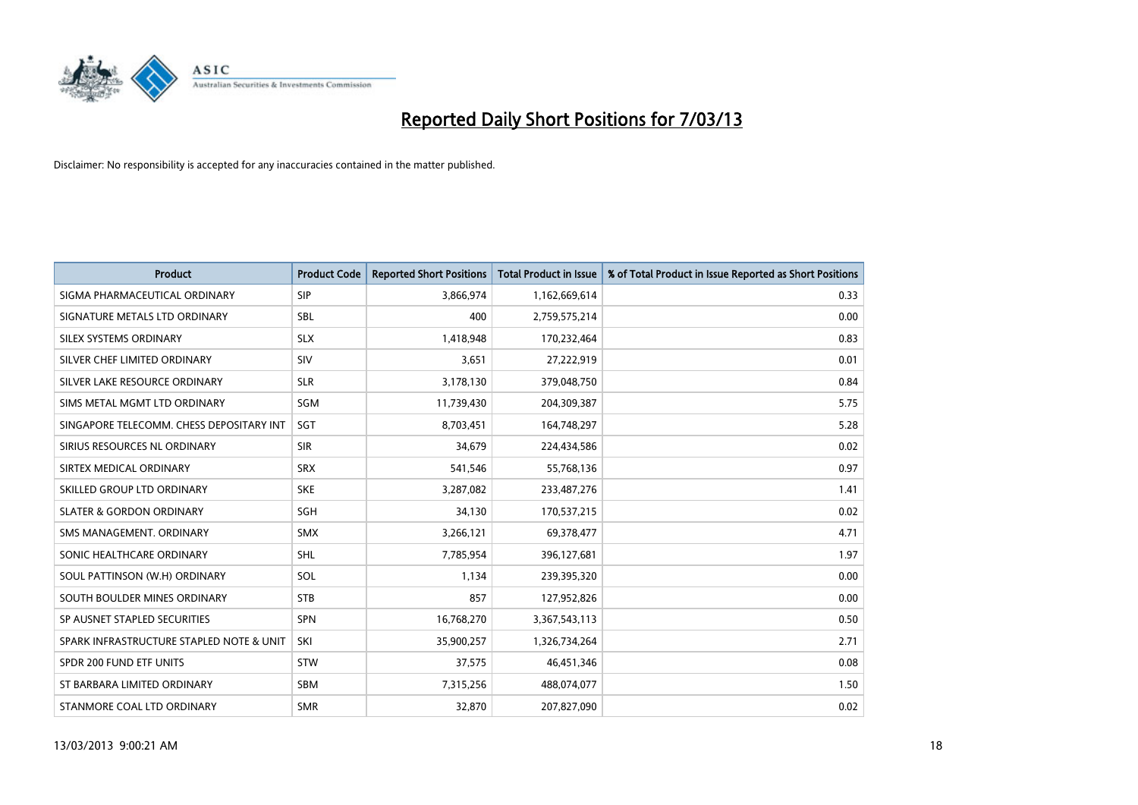

| <b>Product</b>                           | <b>Product Code</b> | <b>Reported Short Positions</b> | <b>Total Product in Issue</b> | % of Total Product in Issue Reported as Short Positions |
|------------------------------------------|---------------------|---------------------------------|-------------------------------|---------------------------------------------------------|
| SIGMA PHARMACEUTICAL ORDINARY            | <b>SIP</b>          | 3,866,974                       | 1,162,669,614                 | 0.33                                                    |
| SIGNATURE METALS LTD ORDINARY            | <b>SBL</b>          | 400                             | 2,759,575,214                 | 0.00                                                    |
| SILEX SYSTEMS ORDINARY                   | <b>SLX</b>          | 1,418,948                       | 170,232,464                   | 0.83                                                    |
| SILVER CHEF LIMITED ORDINARY             | SIV                 | 3,651                           | 27,222,919                    | 0.01                                                    |
| SILVER LAKE RESOURCE ORDINARY            | <b>SLR</b>          | 3,178,130                       | 379,048,750                   | 0.84                                                    |
| SIMS METAL MGMT LTD ORDINARY             | <b>SGM</b>          | 11,739,430                      | 204,309,387                   | 5.75                                                    |
| SINGAPORE TELECOMM. CHESS DEPOSITARY INT | SGT                 | 8,703,451                       | 164,748,297                   | 5.28                                                    |
| SIRIUS RESOURCES NL ORDINARY             | <b>SIR</b>          | 34,679                          | 224,434,586                   | 0.02                                                    |
| SIRTEX MEDICAL ORDINARY                  | <b>SRX</b>          | 541,546                         | 55,768,136                    | 0.97                                                    |
| SKILLED GROUP LTD ORDINARY               | <b>SKE</b>          | 3,287,082                       | 233,487,276                   | 1.41                                                    |
| <b>SLATER &amp; GORDON ORDINARY</b>      | <b>SGH</b>          | 34,130                          | 170,537,215                   | 0.02                                                    |
| SMS MANAGEMENT, ORDINARY                 | <b>SMX</b>          | 3,266,121                       | 69,378,477                    | 4.71                                                    |
| SONIC HEALTHCARE ORDINARY                | <b>SHL</b>          | 7,785,954                       | 396,127,681                   | 1.97                                                    |
| SOUL PATTINSON (W.H) ORDINARY            | SOL                 | 1,134                           | 239,395,320                   | 0.00                                                    |
| SOUTH BOULDER MINES ORDINARY             | <b>STB</b>          | 857                             | 127,952,826                   | 0.00                                                    |
| SP AUSNET STAPLED SECURITIES             | <b>SPN</b>          | 16,768,270                      | 3,367,543,113                 | 0.50                                                    |
| SPARK INFRASTRUCTURE STAPLED NOTE & UNIT | SKI                 | 35,900,257                      | 1,326,734,264                 | 2.71                                                    |
| SPDR 200 FUND ETF UNITS                  | <b>STW</b>          | 37,575                          | 46,451,346                    | 0.08                                                    |
| ST BARBARA LIMITED ORDINARY              | <b>SBM</b>          | 7,315,256                       | 488,074,077                   | 1.50                                                    |
| STANMORE COAL LTD ORDINARY               | <b>SMR</b>          | 32,870                          | 207,827,090                   | 0.02                                                    |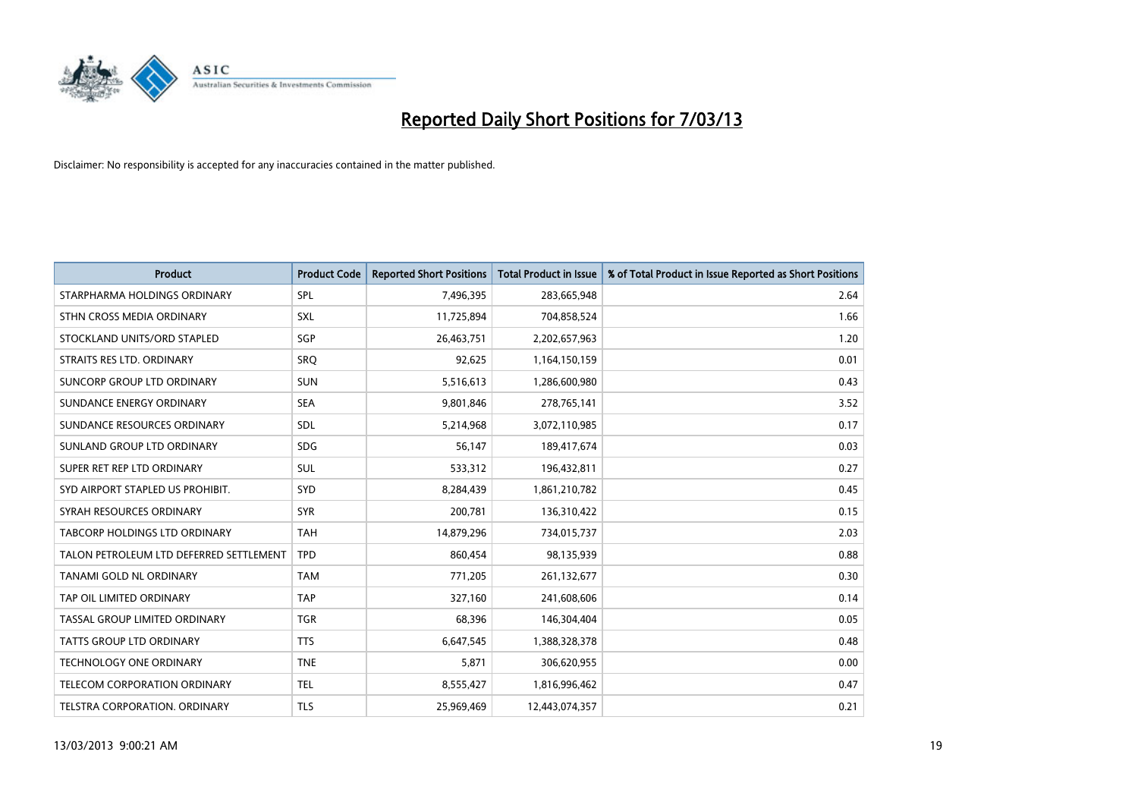

| <b>Product</b>                          | <b>Product Code</b> | <b>Reported Short Positions</b> | <b>Total Product in Issue</b> | % of Total Product in Issue Reported as Short Positions |
|-----------------------------------------|---------------------|---------------------------------|-------------------------------|---------------------------------------------------------|
| STARPHARMA HOLDINGS ORDINARY            | SPL                 | 7,496,395                       | 283,665,948                   | 2.64                                                    |
| STHN CROSS MEDIA ORDINARY               | <b>SXL</b>          | 11,725,894                      | 704,858,524                   | 1.66                                                    |
| STOCKLAND UNITS/ORD STAPLED             | SGP                 | 26,463,751                      | 2,202,657,963                 | 1.20                                                    |
| STRAITS RES LTD. ORDINARY               | SRO                 | 92,625                          | 1,164,150,159                 | 0.01                                                    |
| SUNCORP GROUP LTD ORDINARY              | <b>SUN</b>          | 5,516,613                       | 1,286,600,980                 | 0.43                                                    |
| SUNDANCE ENERGY ORDINARY                | <b>SEA</b>          | 9,801,846                       | 278,765,141                   | 3.52                                                    |
| SUNDANCE RESOURCES ORDINARY             | <b>SDL</b>          | 5,214,968                       | 3,072,110,985                 | 0.17                                                    |
| SUNLAND GROUP LTD ORDINARY              | <b>SDG</b>          | 56,147                          | 189,417,674                   | 0.03                                                    |
| SUPER RET REP LTD ORDINARY              | <b>SUL</b>          | 533,312                         | 196,432,811                   | 0.27                                                    |
| SYD AIRPORT STAPLED US PROHIBIT.        | SYD                 | 8,284,439                       | 1,861,210,782                 | 0.45                                                    |
| SYRAH RESOURCES ORDINARY                | <b>SYR</b>          | 200,781                         | 136,310,422                   | 0.15                                                    |
| TABCORP HOLDINGS LTD ORDINARY           | <b>TAH</b>          | 14,879,296                      | 734,015,737                   | 2.03                                                    |
| TALON PETROLEUM LTD DEFERRED SETTLEMENT | <b>TPD</b>          | 860,454                         | 98,135,939                    | 0.88                                                    |
| <b>TANAMI GOLD NL ORDINARY</b>          | <b>TAM</b>          | 771,205                         | 261,132,677                   | 0.30                                                    |
| TAP OIL LIMITED ORDINARY                | <b>TAP</b>          | 327,160                         | 241,608,606                   | 0.14                                                    |
| TASSAL GROUP LIMITED ORDINARY           | <b>TGR</b>          | 68,396                          | 146,304,404                   | 0.05                                                    |
| TATTS GROUP LTD ORDINARY                | <b>TTS</b>          | 6,647,545                       | 1,388,328,378                 | 0.48                                                    |
| <b>TECHNOLOGY ONE ORDINARY</b>          | <b>TNE</b>          | 5,871                           | 306,620,955                   | 0.00                                                    |
| <b>TELECOM CORPORATION ORDINARY</b>     | <b>TEL</b>          | 8,555,427                       | 1,816,996,462                 | 0.47                                                    |
| TELSTRA CORPORATION, ORDINARY           | <b>TLS</b>          | 25,969,469                      | 12,443,074,357                | 0.21                                                    |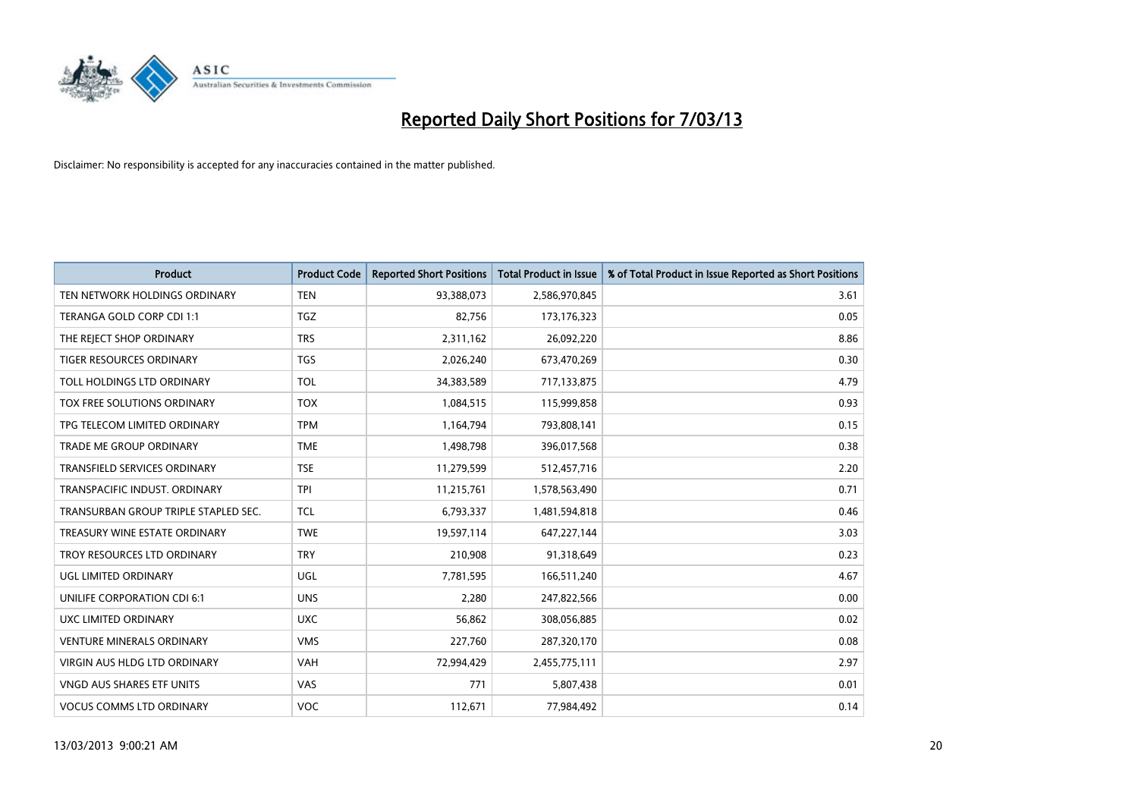

| <b>Product</b>                       | <b>Product Code</b> | <b>Reported Short Positions</b> | <b>Total Product in Issue</b> | % of Total Product in Issue Reported as Short Positions |
|--------------------------------------|---------------------|---------------------------------|-------------------------------|---------------------------------------------------------|
| TEN NETWORK HOLDINGS ORDINARY        | <b>TEN</b>          | 93,388,073                      | 2,586,970,845                 | 3.61                                                    |
| TERANGA GOLD CORP CDI 1:1            | <b>TGZ</b>          | 82,756                          | 173, 176, 323                 | 0.05                                                    |
| THE REJECT SHOP ORDINARY             | <b>TRS</b>          | 2,311,162                       | 26,092,220                    | 8.86                                                    |
| TIGER RESOURCES ORDINARY             | <b>TGS</b>          | 2,026,240                       | 673,470,269                   | 0.30                                                    |
| TOLL HOLDINGS LTD ORDINARY           | <b>TOL</b>          | 34,383,589                      | 717,133,875                   | 4.79                                                    |
| <b>TOX FREE SOLUTIONS ORDINARY</b>   | <b>TOX</b>          | 1,084,515                       | 115,999,858                   | 0.93                                                    |
| TPG TELECOM LIMITED ORDINARY         | <b>TPM</b>          | 1,164,794                       | 793,808,141                   | 0.15                                                    |
| <b>TRADE ME GROUP ORDINARY</b>       | <b>TME</b>          | 1,498,798                       | 396,017,568                   | 0.38                                                    |
| TRANSFIELD SERVICES ORDINARY         | <b>TSE</b>          | 11,279,599                      | 512,457,716                   | 2.20                                                    |
| TRANSPACIFIC INDUST, ORDINARY        | <b>TPI</b>          | 11,215,761                      | 1,578,563,490                 | 0.71                                                    |
| TRANSURBAN GROUP TRIPLE STAPLED SEC. | <b>TCL</b>          | 6,793,337                       | 1,481,594,818                 | 0.46                                                    |
| TREASURY WINE ESTATE ORDINARY        | <b>TWE</b>          | 19,597,114                      | 647,227,144                   | 3.03                                                    |
| TROY RESOURCES LTD ORDINARY          | <b>TRY</b>          | 210,908                         | 91,318,649                    | 0.23                                                    |
| <b>UGL LIMITED ORDINARY</b>          | UGL                 | 7,781,595                       | 166,511,240                   | 4.67                                                    |
| UNILIFE CORPORATION CDI 6:1          | <b>UNS</b>          | 2,280                           | 247,822,566                   | 0.00                                                    |
| UXC LIMITED ORDINARY                 | <b>UXC</b>          | 56,862                          | 308,056,885                   | 0.02                                                    |
| <b>VENTURE MINERALS ORDINARY</b>     | <b>VMS</b>          | 227,760                         | 287,320,170                   | 0.08                                                    |
| VIRGIN AUS HLDG LTD ORDINARY         | <b>VAH</b>          | 72,994,429                      | 2,455,775,111                 | 2.97                                                    |
| <b>VNGD AUS SHARES ETF UNITS</b>     | <b>VAS</b>          | 771                             | 5,807,438                     | 0.01                                                    |
| <b>VOCUS COMMS LTD ORDINARY</b>      | <b>VOC</b>          | 112,671                         | 77,984,492                    | 0.14                                                    |